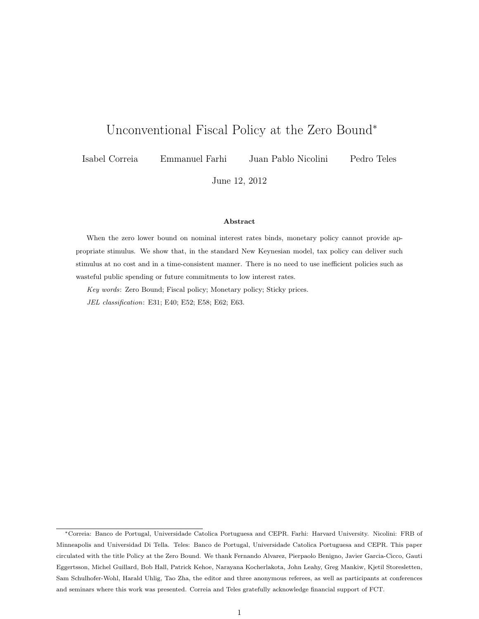# Unconventional Fiscal Policy at the Zero Bound<sup>∗</sup>

Isabel Correia Emmanuel Farhi Juan Pablo Nicolini Pedro Teles

June 12, 2012

#### Abstract

When the zero lower bound on nominal interest rates binds, monetary policy cannot provide appropriate stimulus. We show that, in the standard New Keynesian model, tax policy can deliver such stimulus at no cost and in a time-consistent manner. There is no need to use inefficient policies such as wasteful public spending or future commitments to low interest rates.

Key words: Zero Bound; Fiscal policy; Monetary policy; Sticky prices. JEL classification: E31; E40; E52; E58; E62; E63.

<sup>∗</sup>Correia: Banco de Portugal, Universidade Catolica Portuguesa and CEPR. Farhi: Harvard University. Nicolini: FRB of Minneapolis and Universidad Di Tella. Teles: Banco de Portugal, Universidade Catolica Portuguesa and CEPR. This paper circulated with the title Policy at the Zero Bound. We thank Fernando Alvarez, Pierpaolo Benigno, Javier Garcia-Cicco, Gauti Eggertsson, Michel Guillard, Bob Hall, Patrick Kehoe, Narayana Kocherlakota, John Leahy, Greg Mankiw, Kjetil Storesletten, Sam Schulhofer-Wohl, Harald Uhlig, Tao Zha, the editor and three anonymous referees, as well as participants at conferences and seminars where this work was presented. Correia and Teles gratefully acknowledge financial support of FCT.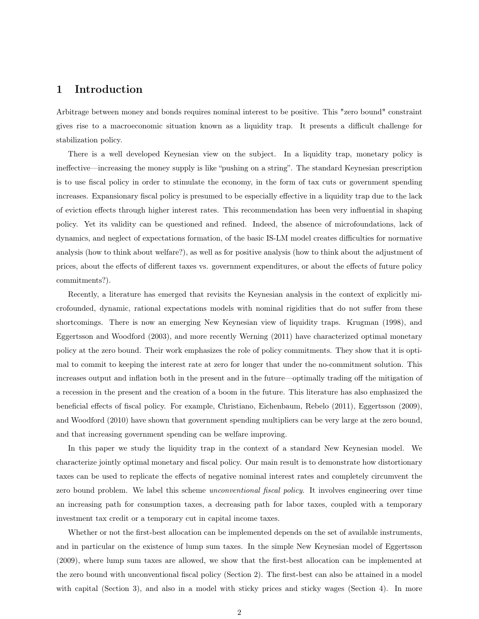# 1 Introduction

Arbitrage between money and bonds requires nominal interest to be positive. This "zero bound" constraint gives rise to a macroeconomic situation known as a liquidity trap. It presents a difficult challenge for stabilization policy.

There is a well developed Keynesian view on the subject. In a liquidity trap, monetary policy is ineffective—increasing the money supply is like "pushing on a string". The standard Keynesian prescription is to use fiscal policy in order to stimulate the economy, in the form of tax cuts or government spending increases. Expansionary fiscal policy is presumed to be especially effective in a liquidity trap due to the lack of eviction effects through higher interest rates. This recommendation has been very influential in shaping policy. Yet its validity can be questioned and refined. Indeed, the absence of microfoundations, lack of dynamics, and neglect of expectations formation, of the basic IS-LM model creates difficulties for normative analysis (how to think about welfare?), as well as for positive analysis (how to think about the adjustment of prices, about the effects of different taxes vs. government expenditures, or about the effects of future policy commitments?).

Recently, a literature has emerged that revisits the Keynesian analysis in the context of explicitly microfounded, dynamic, rational expectations models with nominal rigidities that do not suffer from these shortcomings. There is now an emerging New Keynesian view of liquidity traps. Krugman (1998), and Eggertsson and Woodford (2003), and more recently Werning (2011) have characterized optimal monetary policy at the zero bound. Their work emphasizes the role of policy commitments. They show that it is optimal to commit to keeping the interest rate at zero for longer that under the no-commitment solution. This increases output and inflation both in the present and in the future—optimally trading off the mitigation of a recession in the present and the creation of a boom in the future. This literature has also emphasized the beneficial effects of fiscal policy. For example, Christiano, Eichenbaum, Rebelo (2011), Eggertsson (2009), and Woodford (2010) have shown that government spending multipliers can be very large at the zero bound, and that increasing government spending can be welfare improving.

In this paper we study the liquidity trap in the context of a standard New Keynesian model. We characterize jointly optimal monetary and fiscal policy. Our main result is to demonstrate how distortionary taxes can be used to replicate the effects of negative nominal interest rates and completely circumvent the zero bound problem. We label this scheme *unconventional fiscal policy*. It involves engineering over time an increasing path for consumption taxes, a decreasing path for labor taxes, coupled with a temporary investment tax credit or a temporary cut in capital income taxes.

Whether or not the first-best allocation can be implemented depends on the set of available instruments, and in particular on the existence of lump sum taxes. In the simple New Keynesian model of Eggertsson (2009), where lump sum taxes are allowed, we show that the first-best allocation can be implemented at the zero bound with unconventional fiscal policy (Section 2). The first-best can also be attained in a model with capital (Section 3), and also in a model with sticky prices and sticky wages (Section 4). In more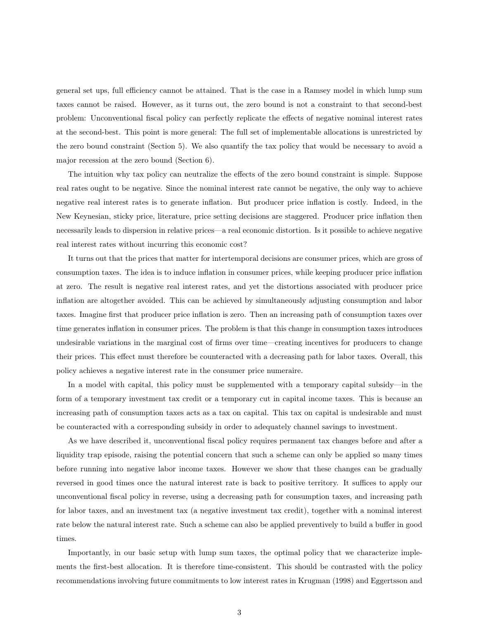general set ups, full efficiency cannot be attained. That is the case in a Ramsey model in which lump sum taxes cannot be raised. However, as it turns out, the zero bound is not a constraint to that second-best problem: Unconventional fiscal policy can perfectly replicate the effects of negative nominal interest rates at the second-best. This point is more general: The full set of implementable allocations is unrestricted by the zero bound constraint (Section 5). We also quantify the tax policy that would be necessary to avoid a major recession at the zero bound (Section 6).

The intuition why tax policy can neutralize the effects of the zero bound constraint is simple. Suppose real rates ought to be negative. Since the nominal interest rate cannot be negative, the only way to achieve negative real interest rates is to generate inflation. But producer price inflation is costly. Indeed, in the New Keynesian, sticky price, literature, price setting decisions are staggered. Producer price inflation then necessarily leads to dispersion in relative prices—a real economic distortion. Is it possible to achieve negative real interest rates without incurring this economic cost?

It turns out that the prices that matter for intertemporal decisions are consumer prices, which are gross of consumption taxes. The idea is to induce inflation in consumer prices, while keeping producer price inflation at zero. The result is negative real interest rates, and yet the distortions associated with producer price inflation are altogether avoided. This can be achieved by simultaneously adjusting consumption and labor taxes. Imagine first that producer price inflation is zero. Then an increasing path of consumption taxes over time generates inflation in consumer prices. The problem is that this change in consumption taxes introduces undesirable variations in the marginal cost of firms over time—creating incentives for producers to change their prices. This effect must therefore be counteracted with a decreasing path for labor taxes. Overall, this policy achieves a negative interest rate in the consumer price numeraire.

In a model with capital, this policy must be supplemented with a temporary capital subsidy—in the form of a temporary investment tax credit or a temporary cut in capital income taxes. This is because an increasing path of consumption taxes acts as a tax on capital. This tax on capital is undesirable and must be counteracted with a corresponding subsidy in order to adequately channel savings to investment.

As we have described it, unconventional fiscal policy requires permanent tax changes before and after a liquidity trap episode, raising the potential concern that such a scheme can only be applied so many times before running into negative labor income taxes. However we show that these changes can be gradually reversed in good times once the natural interest rate is back to positive territory. It suffices to apply our unconventional fiscal policy in reverse, using a decreasing path for consumption taxes, and increasing path for labor taxes, and an investment tax (a negative investment tax credit), together with a nominal interest rate below the natural interest rate. Such a scheme can also be applied preventively to build a buffer in good times.

Importantly, in our basic setup with lump sum taxes, the optimal policy that we characterize implements the first-best allocation. It is therefore time-consistent. This should be contrasted with the policy recommendations involving future commitments to low interest rates in Krugman (1998) and Eggertsson and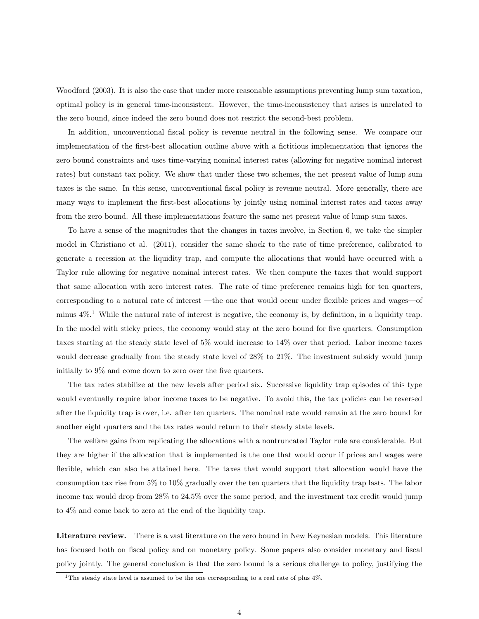Woodford (2003). It is also the case that under more reasonable assumptions preventing lump sum taxation, optimal policy is in general time-inconsistent. However, the time-inconsistency that arises is unrelated to the zero bound, since indeed the zero bound does not restrict the second-best problem.

In addition, unconventional fiscal policy is revenue neutral in the following sense. We compare our implementation of the first-best allocation outline above with a fictitious implementation that ignores the zero bound constraints and uses time-varying nominal interest rates (allowing for negative nominal interest rates) but constant tax policy. We show that under these two schemes, the net present value of lump sum taxes is the same. In this sense, unconventional fiscal policy is revenue neutral. More generally, there are many ways to implement the first-best allocations by jointly using nominal interest rates and taxes away from the zero bound. All these implementations feature the same net present value of lump sum taxes.

To have a sense of the magnitudes that the changes in taxes involve, in Section 6, we take the simpler model in Christiano et al. (2011), consider the same shock to the rate of time preference, calibrated to generate a recession at the liquidity trap, and compute the allocations that would have occurred with a Taylor rule allowing for negative nominal interest rates. We then compute the taxes that would support that same allocation with zero interest rates. The rate of time preference remains high for ten quarters, corresponding to a natural rate of interest —the one that would occur under flexible prices and wages—of minus 4%.<sup>1</sup> While the natural rate of interest is negative, the economy is, by definition, in a liquidity trap. In the model with sticky prices, the economy would stay at the zero bound for five quarters. Consumption taxes starting at the steady state level of 5% would increase to 14% over that period. Labor income taxes would decrease gradually from the steady state level of 28% to 21%. The investment subsidy would jump initially to 9% and come down to zero over the five quarters.

The tax rates stabilize at the new levels after period six. Successive liquidity trap episodes of this type would eventually require labor income taxes to be negative. To avoid this, the tax policies can be reversed after the liquidity trap is over, i.e. after ten quarters. The nominal rate would remain at the zero bound for another eight quarters and the tax rates would return to their steady state levels.

The welfare gains from replicating the allocations with a nontruncated Taylor rule are considerable. But they are higher if the allocation that is implemented is the one that would occur if prices and wages were flexible, which can also be attained here. The taxes that would support that allocation would have the consumption tax rise from 5% to 10% gradually over the ten quarters that the liquidity trap lasts. The labor income tax would drop from 28% to 24.5% over the same period, and the investment tax credit would jump to 4% and come back to zero at the end of the liquidity trap.

Literature review. There is a vast literature on the zero bound in New Keynesian models. This literature has focused both on fiscal policy and on monetary policy. Some papers also consider monetary and fiscal policy jointly. The general conclusion is that the zero bound is a serious challenge to policy, justifying the

<sup>&</sup>lt;sup>1</sup>The steady state level is assumed to be the one corresponding to a real rate of plus  $4\%$ .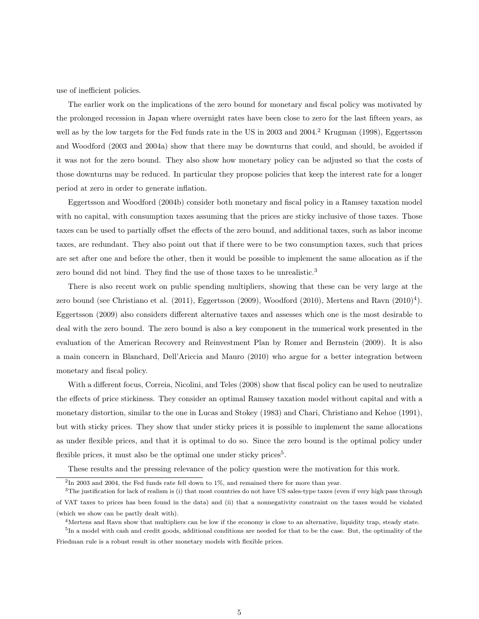use of inefficient policies.

The earlier work on the implications of the zero bound for monetary and fiscal policy was motivated by the prolonged recession in Japan where overnight rates have been close to zero for the last fifteen years, as well as by the low targets for the Fed funds rate in the US in 2003 and 2004.<sup>2</sup> Krugman (1998), Eggertsson and Woodford (2003 and 2004a) show that there may be downturns that could, and should, be avoided if it was not for the zero bound. They also show how monetary policy can be adjusted so that the costs of those downturns may be reduced. In particular they propose policies that keep the interest rate for a longer period at zero in order to generate inflation.

Eggertsson and Woodford (2004b) consider both monetary and fiscal policy in a Ramsey taxation model with no capital, with consumption taxes assuming that the prices are sticky inclusive of those taxes. Those taxes can be used to partially offset the effects of the zero bound, and additional taxes, such as labor income taxes, are redundant. They also point out that if there were to be two consumption taxes, such that prices are set after one and before the other, then it would be possible to implement the same allocation as if the zero bound did not bind. They find the use of those taxes to be unrealistic.<sup>3</sup>

There is also recent work on public spending multipliers, showing that these can be very large at the zero bound (see Christiano et al.  $(2011)$ , Eggertsson  $(2009)$ , Woodford  $(2010)$ , Mertens and Ravn  $(2010)<sup>4</sup>$ ). Eggertsson (2009) also considers different alternative taxes and assesses which one is the most desirable to deal with the zero bound. The zero bound is also a key component in the numerical work presented in the evaluation of the American Recovery and Reinvestment Plan by Romer and Bernstein (2009). It is also a main concern in Blanchard, Dell'Ariccia and Mauro (2010) who argue for a better integration between monetary and fiscal policy.

With a different focus, Correia, Nicolini, and Teles (2008) show that fiscal policy can be used to neutralize the effects of price stickiness. They consider an optimal Ramsey taxation model without capital and with a monetary distortion, similar to the one in Lucas and Stokey (1983) and Chari, Christiano and Kehoe (1991), but with sticky prices. They show that under sticky prices it is possible to implement the same allocations as under flexible prices, and that it is optimal to do so. Since the zero bound is the optimal policy under flexible prices, it must also be the optimal one under sticky prices<sup>5</sup>.

These results and the pressing relevance of the policy question were the motivation for this work.

 $^{2}$ In 2003 and 2004, the Fed funds rate fell down to 1%, and remained there for more than year.

 $3$ The justification for lack of realism is (i) that most countries do not have US sales-type taxes (even if very high pass through of VAT taxes to prices has been found in the data) and (ii) that a nonnegativity constraint on the taxes would be violated (which we show can be partly dealt with).

<sup>&</sup>lt;sup>4</sup>Mertens and Ravn show that multipliers can be low if the economy is close to an alternative, liquidity trap, steady state.

<sup>&</sup>lt;sup>5</sup>In a model with cash and credit goods, additional conditions are needed for that to be the case. But, the optimality of the Friedman rule is a robust result in other monetary models with flexible prices.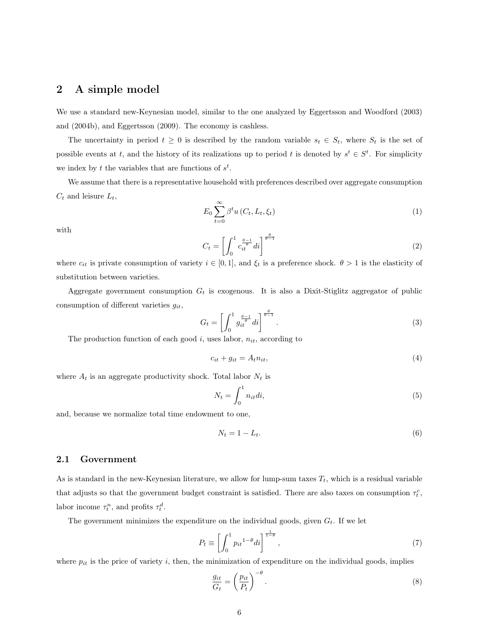# 2 A simple model

We use a standard new-Keynesian model, similar to the one analyzed by Eggertsson and Woodford (2003) and (2004b), and Eggertsson (2009). The economy is cashless.

The uncertainty in period  $t \geq 0$  is described by the random variable  $s_t \in S_t$ , where  $S_t$  is the set of possible events at t, and the history of its realizations up to period t is denoted by  $s^t \in S^t$ . For simplicity we index by t the variables that are functions of  $s^t$ .

We assume that there is a representative household with preferences described over aggregate consumption  $C_t$  and leisure  $L_t$ ,

$$
E_0 \sum_{t=0}^{\infty} \beta^t u(C_t, L_t, \xi_t)
$$
\n
$$
\tag{1}
$$

with

$$
C_t = \left[ \int_0^1 c_{it}^{\frac{\theta - 1}{\theta}} di \right]^{\frac{\theta}{\theta - 1}} \tag{2}
$$

where  $c_{it}$  is private consumption of variety  $i \in [0,1]$ , and  $\xi_t$  is a preference shock.  $\theta > 1$  is the elasticity of substitution between varieties.

Aggregate government consumption  $G_t$  is exogenous. It is also a Dixit-Stiglitz aggregator of public consumption of different varieties  $g_{it}$ ,

$$
G_t = \left[ \int_0^1 g_{it}^{\frac{\theta - 1}{\theta}} di \right]^{\frac{\theta}{\theta - 1}}.
$$
\n(3)

The production function of each good  $i$ , uses labor,  $n_{it}$ , according to

$$
c_{it} + g_{it} = A_t n_{it},\tag{4}
$$

where  $A_t$  is an aggregate productivity shock. Total labor  $N_t$  is

$$
N_t = \int_0^1 n_{it} di,
$$
\n(5)

and, because we normalize total time endowment to one,

$$
N_t = 1 - L_t. \tag{6}
$$

#### 2.1 Government

As is standard in the new-Keynesian literature, we allow for lump-sum taxes  $T_t$ , which is a residual variable that adjusts so that the government budget constraint is satisfied. There are also taxes on consumption  $\tau_t^c$ , labor income  $\tau_t^n$ , and profits  $\tau_t^d$ .

The government minimizes the expenditure on the individual goods, given  $G_t$ . If we let

$$
P_t \equiv \left[ \int_0^1 p_{it}^{1-\theta} di \right]^{\frac{1}{1-\theta}}, \tag{7}
$$

where  $p_{it}$  is the price of variety i, then, the minimization of expenditure on the individual goods, implies

$$
\frac{g_{it}}{G_t} = \left(\frac{p_{it}}{P_t}\right)^{-\theta}.\tag{8}
$$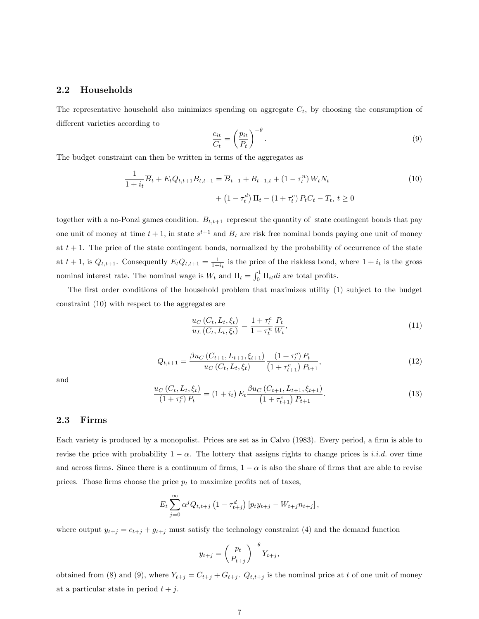### 2.2 Households

The representative household also minimizes spending on aggregate  $C_t$ , by choosing the consumption of different varieties according to

$$
\frac{c_{it}}{C_t} = \left(\frac{p_{it}}{P_t}\right)^{-\theta}.\tag{9}
$$

The budget constraint can then be written in terms of the aggregates as

$$
\frac{1}{1+i_t}\overline{B}_t + E_t Q_{t,t+1} B_{t,t+1} = \overline{B}_{t-1} + B_{t-1,t} + (1 - \tau_t^n) W_t N_t
$$
  
+ 
$$
(10)
$$

$$
+ (1 - \tau_t^d) \Pi_t - (1 + \tau_t^c) P_t C_t - T_t, t \ge 0
$$

together with a no-Ponzi games condition.  $B_{t,t+1}$  represent the quantity of state contingent bonds that pay one unit of money at time  $t + 1$ , in state  $s^{t+1}$  and  $\overline{B}_t$  are risk free nominal bonds paying one unit of money at  $t + 1$ . The price of the state contingent bonds, normalized by the probability of occurrence of the state at  $t+1$ , is  $Q_{t,t+1}$ . Consequently  $E_tQ_{t,t+1} = \frac{1}{1+i_t}$  is the price of the riskless bond, where  $1+i_t$  is the gross nominal interest rate. The nominal wage is  $W_t$  and  $\Pi_t = \int_0^1 \Pi_{it} di$  are total profits.

The first order conditions of the household problem that maximizes utility (1) subject to the budget constraint (10) with respect to the aggregates are

$$
\frac{u_C(C_t, L_t, \xi_t)}{u_L(C_t, L_t, \xi_t)} = \frac{1 + \tau_t^c}{1 - \tau_t^n} \frac{P_t}{W_t},\tag{11}
$$

$$
Q_{t,t+1} = \frac{\beta u_C \left( C_{t+1}, L_{t+1}, \xi_{t+1} \right)}{u_C \left( C_t, L_t, \xi_t \right)} \frac{\left( 1 + \tau_t^c \right) P_t}{\left( 1 + \tau_{t+1}^c \right) P_{t+1}},\tag{12}
$$

and

$$
\frac{u_C(C_t, L_t, \xi_t)}{(1 + \tau_t^c) P_t} = (1 + i_t) E_t \frac{\beta u_C(C_{t+1}, L_{t+1}, \xi_{t+1})}{(1 + \tau_{t+1}^c) P_{t+1}}.
$$
\n(13)

#### 2.3 Firms

Each variety is produced by a monopolist. Prices are set as in Calvo (1983). Every period, a firm is able to revise the price with probability  $1 - \alpha$ . The lottery that assigns rights to change prices is *i.i.d.* over time and across firms. Since there is a continuum of firms,  $1 - \alpha$  is also the share of firms that are able to revise prices. Those firms choose the price  $p_t$  to maximize profits net of taxes,

$$
E_t \sum_{j=0}^{\infty} \alpha^j Q_{t,t+j} \left( 1 - \tau_{t+j}^d \right) \left[ p_t y_{t+j} - W_{t+j} n_{t+j} \right],
$$

where output  $y_{t+j} = c_{t+j} + g_{t+j}$  must satisfy the technology constraint (4) and the demand function

$$
y_{t+j} = \left(\frac{p_t}{P_{t+j}}\right)^{-\theta} Y_{t+j},
$$

obtained from (8) and (9), where  $Y_{t+j} = C_{t+j} + G_{t+j}$ .  $Q_{t,t+j}$  is the nominal price at t of one unit of money at a particular state in period  $t + j$ .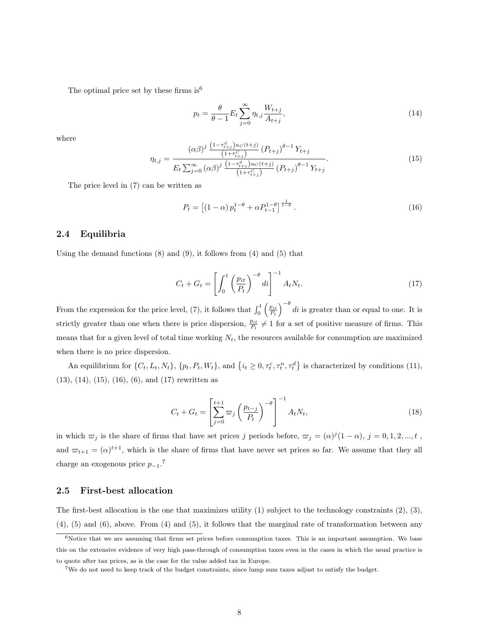The optimal price set by these firms  $is^6$ 

$$
p_t = \frac{\theta}{\theta - 1} E_t \sum_{j=0}^{\infty} \eta_{t,j} \frac{W_{t+j}}{A_{t+j}},
$$
\n(14)

where

$$
\eta_{t,j} = \frac{(\alpha \beta)^j \frac{\left(1 - \tau_{t+j}^d\right) u_C(t+j)}{\left(1 + \tau_{t+j}^C\right)} \left(P_{t+j}\right)^{\theta - 1} Y_{t+j}}{E_t \sum_{j=0}^{\infty} (\alpha \beta)^j \frac{\left(1 - \tau_{t+j}^d\right) u_C(t+j)}{\left(1 + \tau_{t+j}^C\right)} \left(P_{t+j}\right)^{\theta - 1} Y_{t+j}}.
$$
\n(15)

The price level in (7) can be written as

$$
P_t = \left[ (1 - \alpha) p_t^{1 - \theta} + \alpha P_{t-1}^{1 - \theta} \right]^{\frac{1}{1 - \theta}}.
$$
\n(16)

### 2.4 Equilibria

Using the demand functions  $(8)$  and  $(9)$ , it follows from  $(4)$  and  $(5)$  that

$$
C_t + G_t = \left[ \int_0^1 \left( \frac{p_{it}}{P_t} \right)^{-\theta} dt \right]^{-1} A_t N_t.
$$
 (17)

From the expression for the price level, (7), it follows that  $\int_0^1 \left(\frac{p_{it}}{P_t}\right)^{-\theta} dt$  is greater than or equal to one. It is strictly greater than one when there is price dispersion,  $\frac{p_{it}}{P_t} \neq 1$  for a set of positive measure of firms. This means that for a given level of total time working  $N_t$ , the resources available for consumption are maximized when there is no price dispersion.

An equilibrium for  $\{C_t, L_t, N_t\}$ ,  $\{p_t, P_t, W_t\}$ , and  $\{i_t \geq 0, \tau_t^c, \tau_t^n, \tau_t^d\}$  is characterized by conditions (11), (13), (14), (15), (16), (6), and (17) rewritten as

$$
C_t + G_t = \left[\sum_{j=0}^{t+1} \varpi_j \left(\frac{p_{t-j}}{P_t}\right)^{-\theta}\right]^{-1} A_t N_t,
$$
\n(18)

in which  $\varpi_j$  is the share of firms that have set prices j periods before,  $\varpi_j = (\alpha)^j (1 - \alpha)$ , j = 0, 1, 2, ..., t, and  $\overline{\omega}_{t+1} = (\alpha)^{t+1}$ , which is the share of firms that have never set prices so far. We assume that they all charge an exogenous price  $p_{-1}$ .<sup>7</sup>

### 2.5 First-best allocation

The first-best allocation is the one that maximizes utility  $(1)$  subject to the technology constraints  $(2)$ ,  $(3)$ , (4), (5) and (6), above. From (4) and (5), it follows that the marginal rate of transformation between any

 $6$ Notice that we are assuming that firms set prices before consumption taxes. This is an important assumption. We base this on the extensive evidence of very high pass-through of consumption taxes even in the cases in which the usual practice is to quote after tax prices, as is the case for the value added tax in Europe.

<sup>&</sup>lt;sup>7</sup>We do not need to keep track of the budget constraints, since lump sum taxes adjust to satisfy the budget.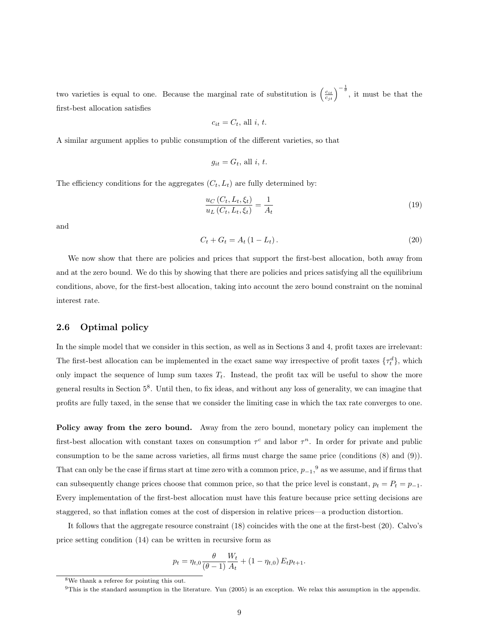two varieties is equal to one. Because the marginal rate of substitution is  $\left(\frac{c_{it}}{c_{jt}}\right)^{-\frac{1}{\theta}}$ , it must be that the first-best allocation satisfies

$$
c_{it} = C_t, \text{ all } i, t.
$$

A similar argument applies to public consumption of the different varieties, so that

$$
g_{it} = G_t, \text{ all } i, t.
$$

The efficiency conditions for the aggregates  $(C_t, L_t)$  are fully determined by:

$$
\frac{u_C(C_t, L_t, \xi_t)}{u_L(C_t, L_t, \xi_t)} = \frac{1}{A_t} \tag{19}
$$

and

$$
C_t + G_t = A_t (1 - L_t). \t\t(20)
$$

We now show that there are policies and prices that support the first-best allocation, both away from and at the zero bound. We do this by showing that there are policies and prices satisfying all the equilibrium conditions, above, for the first-best allocation, taking into account the zero bound constraint on the nominal interest rate.

### 2.6 Optimal policy

In the simple model that we consider in this section, as well as in Sections 3 and 4, profit taxes are irrelevant: The first-best allocation can be implemented in the exact same way irrespective of profit taxes  $\{\tau_t^d\}$ , which only impact the sequence of lump sum taxes  $T_t$ . Instead, the profit tax will be useful to show the more general results in Section 5<sup>8</sup> . Until then, to fix ideas, and without any loss of generality, we can imagine that profits are fully taxed, in the sense that we consider the limiting case in which the tax rate converges to one.

Policy away from the zero bound. Away from the zero bound, monetary policy can implement the first-best allocation with constant taxes on consumption  $\tau^c$  and labor  $\tau^n$ . In order for private and public consumption to be the same across varieties, all firms must charge the same price (conditions (8) and (9)). That can only be the case if firms start at time zero with a common price,  $p_{-1}$ ,<sup>9</sup> as we assume, and if firms that can subsequently change prices choose that common price, so that the price level is constant,  $p_t = P_t = p_{-1}$ . Every implementation of the first-best allocation must have this feature because price setting decisions are staggered, so that inflation comes at the cost of dispersion in relative prices—a production distortion.

It follows that the aggregate resource constraint (18) coincides with the one at the first-best (20). Calvo's price setting condition (14) can be written in recursive form as

$$
p_t = \eta_{t,0} \frac{\theta}{(\theta - 1)} \frac{W_t}{A_t} + (1 - \eta_{t,0}) E_t p_{t+1}.
$$

<sup>8</sup>We thank a referee for pointing this out.

<sup>9</sup>This is the standard assumption in the literature. Yun (2005) is an exception. We relax this assumption in the appendix.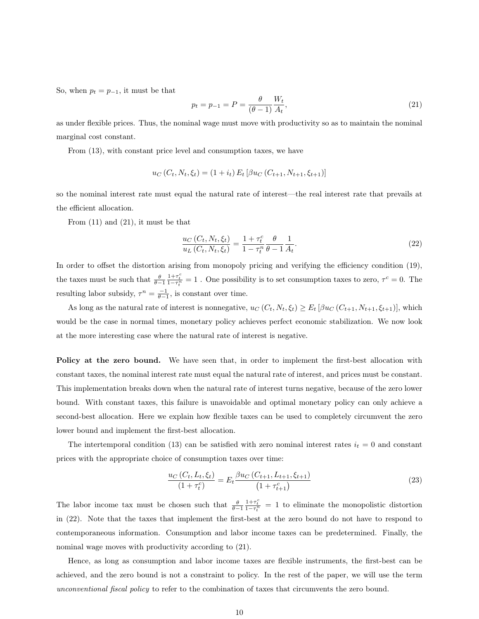So, when  $p_t = p_{-1}$ , it must be that

$$
p_t = p_{-1} = P = \frac{\theta}{(\theta - 1)} \frac{W_t}{A_t},
$$
\n(21)

as under flexible prices. Thus, the nominal wage must move with productivity so as to maintain the nominal marginal cost constant.

From (13), with constant price level and consumption taxes, we have

$$
u_C(C_t, N_t, \xi_t) = (1 + i_t) E_t [\beta u_C(C_{t+1}, N_{t+1}, \xi_{t+1})]
$$

so the nominal interest rate must equal the natural rate of interest—the real interest rate that prevails at the efficient allocation.

From (11) and (21), it must be that

$$
\frac{u_C(C_t, N_t, \xi_t)}{u_L(C_t, N_t, \xi_t)} = \frac{1 + \tau_t^c}{1 - \tau_t^n} \frac{\theta}{\theta - 1} \frac{1}{A_t}.
$$
\n(22)

In order to offset the distortion arising from monopoly pricing and verifying the efficiency condition (19), the taxes must be such that  $\frac{\theta}{\theta-1}$  $\frac{1+\tau_\epsilon^c}{1-\tau_\epsilon^n}=1$ . One possibility is to set consumption taxes to zero,  $\tau^c=0$ . The resulting labor subsidy,  $\tau^n = \frac{-1}{\theta - 1}$ , is constant over time.

As long as the natural rate of interest is nonnegative,  $u_C(C_t, N_t, \xi_t) \ge E_t[\beta u_C(C_{t+1}, N_{t+1}, \xi_{t+1})],$  which would be the case in normal times, monetary policy achieves perfect economic stabilization. We now look at the more interesting case where the natural rate of interest is negative.

Policy at the zero bound. We have seen that, in order to implement the first-best allocation with constant taxes, the nominal interest rate must equal the natural rate of interest, and prices must be constant. This implementation breaks down when the natural rate of interest turns negative, because of the zero lower bound. With constant taxes, this failure is unavoidable and optimal monetary policy can only achieve a second-best allocation. Here we explain how flexible taxes can be used to completely circumvent the zero lower bound and implement the first-best allocation.

The intertemporal condition (13) can be satisfied with zero nominal interest rates  $i_t = 0$  and constant prices with the appropriate choice of consumption taxes over time:

$$
\frac{u_C(C_t, L_t, \xi_t)}{(1 + \tau_t^c)} = E_t \frac{\beta u_C(C_{t+1}, L_{t+1}, \xi_{t+1})}{(1 + \tau_{t+1}^c)}
$$
(23)

The labor income tax must be chosen such that  $\frac{\theta}{\theta-1}$  $\frac{1+\tau_t^c}{1-\tau_t^n}$  = 1 to eliminate the monopolistic distortion in (22). Note that the taxes that implement the first-best at the zero bound do not have to respond to contemporaneous information. Consumption and labor income taxes can be predetermined. Finally, the nominal wage moves with productivity according to (21).

Hence, as long as consumption and labor income taxes are flexible instruments, the first-best can be achieved, and the zero bound is not a constraint to policy. In the rest of the paper, we will use the term unconventional fiscal policy to refer to the combination of taxes that circumvents the zero bound.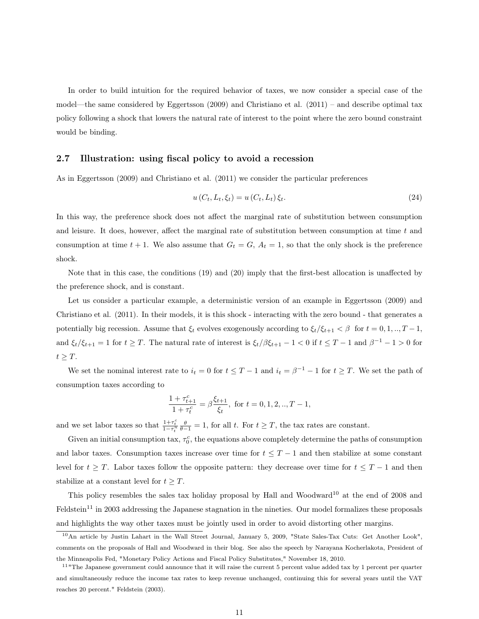In order to build intuition for the required behavior of taxes, we now consider a special case of the model—the same considered by Eggertsson (2009) and Christiano et al.  $(2011)$  – and describe optimal tax policy following a shock that lowers the natural rate of interest to the point where the zero bound constraint would be binding.

### 2.7 Illustration: using fiscal policy to avoid a recession

As in Eggertsson (2009) and Christiano et al. (2011) we consider the particular preferences

$$
u(C_t, L_t, \xi_t) = u(C_t, L_t)\xi_t.
$$
\n
$$
(24)
$$

In this way, the preference shock does not affect the marginal rate of substitution between consumption and leisure. It does, however, affect the marginal rate of substitution between consumption at time t and consumption at time  $t + 1$ . We also assume that  $G_t = G$ ,  $A_t = 1$ , so that the only shock is the preference shock.

Note that in this case, the conditions (19) and (20) imply that the first-best allocation is unaffected by the preference shock, and is constant.

Let us consider a particular example, a deterministic version of an example in Eggertsson (2009) and Christiano et al. (2011). In their models, it is this shock - interacting with the zero bound - that generates a potentially big recession. Assume that  $\xi_t$  evolves exogenously according to  $\xi_t/\xi_{t+1} < \beta$  for  $t = 0, 1, ..., T-1$ , and  $\xi_t/\xi_{t+1} = 1$  for  $t \geq T$ . The natural rate of interest is  $\xi_t/\beta \xi_{t+1} - 1 < 0$  if  $t \leq T - 1$  and  $\beta^{-1} - 1 > 0$  for  $t \geq T$ .

We set the nominal interest rate to  $i_t = 0$  for  $t \leq T - 1$  and  $i_t = \beta^{-1} - 1$  for  $t \geq T$ . We set the path of consumption taxes according to

$$
\frac{1+\tau_{t+1}^c}{1+\tau_t^c} = \beta \frac{\xi_{t+1}}{\xi_t}, \text{ for } t = 0, 1, 2, ..., T-1,
$$

and we set labor taxes so that  $\frac{1+\tau_t^c}{1-\tau_t^n}$  $\frac{\theta}{\theta-1} = 1$ , for all t. For  $t \geq T$ , the tax rates are constant.

Given an initial consumption tax,  $\tau_0^c$ , the equations above completely determine the paths of consumption and labor taxes. Consumption taxes increase over time for  $t \leq T - 1$  and then stabilize at some constant level for  $t \geq T$ . Labor taxes follow the opposite pattern: they decrease over time for  $t \leq T-1$  and then stabilize at a constant level for  $t \geq T$ .

This policy resembles the sales tax holiday proposal by Hall and Woodward<sup>10</sup> at the end of 2008 and  $Feldstein<sup>11</sup>$  in 2003 addressing the Japanese stagnation in the nineties. Our model formalizes these proposals and highlights the way other taxes must be jointly used in order to avoid distorting other margins.

<sup>10</sup>An article by Justin Lahart in the Wall Street Journal, January 5, 2009, "State Sales-Tax Cuts: Get Another Look", comments on the proposals of Hall and Woodward in their blog. See also the speech by Narayana Kocherlakota, President of the Minneapolis Fed, "Monetary Policy Actions and Fiscal Policy Substitutes," November 18, 2010.

 $11$ "The Japanese government could announce that it will raise the current 5 percent value added tax by 1 percent per quarter and simultaneously reduce the income tax rates to keep revenue unchanged, continuing this for several years until the VAT reaches 20 percent." Feldstein (2003).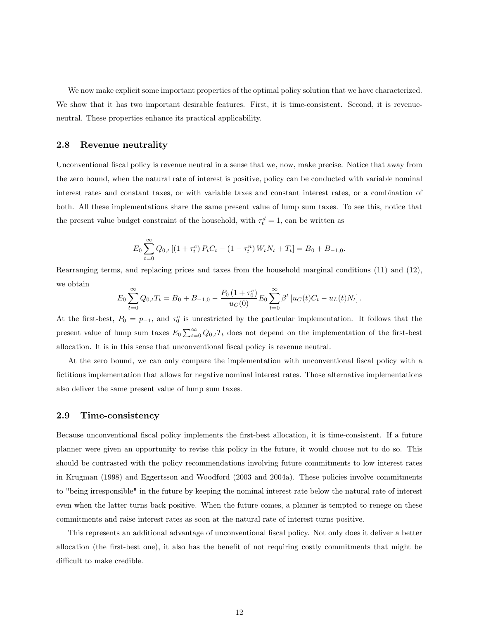We now make explicit some important properties of the optimal policy solution that we have characterized. We show that it has two important desirable features. First, it is time-consistent. Second, it is revenueneutral. These properties enhance its practical applicability.

### 2.8 Revenue neutrality

Unconventional fiscal policy is revenue neutral in a sense that we, now, make precise. Notice that away from the zero bound, when the natural rate of interest is positive, policy can be conducted with variable nominal interest rates and constant taxes, or with variable taxes and constant interest rates, or a combination of both. All these implementations share the same present value of lump sum taxes. To see this, notice that the present value budget constraint of the household, with  $\tau_t^d = 1$ , can be written as

$$
E_0 \sum_{t=0}^{\infty} Q_{0,t} [(1 + \tau_t^c) P_t C_t - (1 - \tau_t^n) W_t N_t + T_t] = \overline{B}_0 + B_{-1,0}.
$$

Rearranging terms, and replacing prices and taxes from the household marginal conditions (11) and (12), we obtain

$$
E_0 \sum_{t=0}^{\infty} Q_{0,t} T_t = \overline{B}_0 + B_{-1,0} - \frac{P_0 (1 + \tau_0^c)}{u_C(0)} E_0 \sum_{t=0}^{\infty} \beta^t [u_C(t) C_t - u_L(t) N_t].
$$

At the first-best,  $P_0 = p_{-1}$ , and  $\tau_0^c$  is unrestricted by the particular implementation. It follows that the present value of lump sum taxes  $E_0 \sum_{t=0}^{\infty} Q_{0,t} T_t$  does not depend on the implementation of the first-best allocation. It is in this sense that unconventional fiscal policy is revenue neutral.

At the zero bound, we can only compare the implementation with unconventional fiscal policy with a fictitious implementation that allows for negative nominal interest rates. Those alternative implementations also deliver the same present value of lump sum taxes.

#### 2.9 Time-consistency

Because unconventional fiscal policy implements the first-best allocation, it is time-consistent. If a future planner were given an opportunity to revise this policy in the future, it would choose not to do so. This should be contrasted with the policy recommendations involving future commitments to low interest rates in Krugman (1998) and Eggertsson and Woodford (2003 and 2004a). These policies involve commitments to "being irresponsible" in the future by keeping the nominal interest rate below the natural rate of interest even when the latter turns back positive. When the future comes, a planner is tempted to renege on these commitments and raise interest rates as soon at the natural rate of interest turns positive.

This represents an additional advantage of unconventional fiscal policy. Not only does it deliver a better allocation (the first-best one), it also has the benefit of not requiring costly commitments that might be difficult to make credible.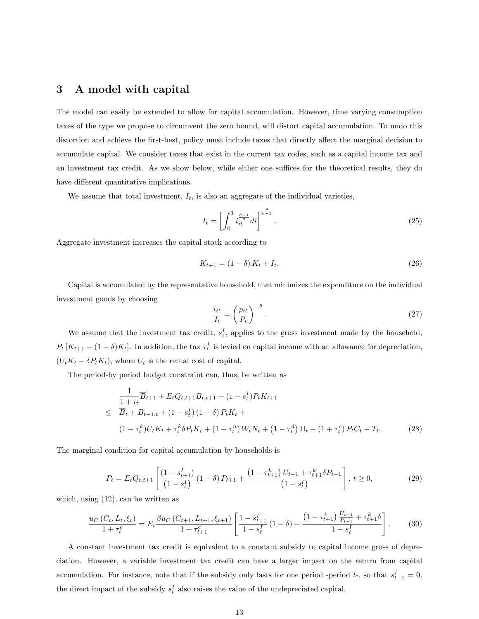# 3 A model with capital

The model can easily be extended to allow for capital accumulation. However, time varying consumption taxes of the type we propose to circumvent the zero bound, will distort capital accumulation. To undo this distortion and achieve the first-best, policy must include taxes that directly affect the marginal decision to accumulate capital. We consider taxes that exist in the current tax codes, such as a capital income tax and an investment tax credit. As we show below, while either one suffices for the theoretical results, they do have different quantitative implications.

We assume that total investment,  $I_t$ , is also an aggregate of the individual varieties,

$$
I_t = \left[ \int_0^1 i \frac{\theta - 1}{i t} dt \right]_0^{\frac{\theta}{\theta - 1}}.
$$
\n(25)

Aggregate investment increases the capital stock according to

$$
K_{t+1} = (1 - \delta) K_t + I_t.
$$
\n(26)

Capital is accumulated by the representative household, that minimizes the expenditure on the individual investment goods by choosing

$$
\frac{i_{it}}{I_t} = \left(\frac{p_{it}}{P_t}\right)^{-\theta}.\tag{27}
$$

We assume that the investment tax credit,  $s_t^I$ , applies to the gross investment made by the household,  $P_t [K_{t+1} - (1 - \delta)K_t]$ . In addition, the tax  $\tau_t^k$  is levied on capital income with an allowance for depreciation,  $(U_tK_t - \delta P_tK_t)$ , where  $U_t$  is the rental cost of capital.

The period-by period budget constraint can, thus, be written as

$$
\frac{1}{1+i_t} \overline{B}_{t+1} + E_t Q_{t,t+1} B_{t,t+1} + (1 - s_t^I) P_t K_{t+1}
$$
\n
$$
\leq \overline{B}_t + B_{t-1,t} + (1 - s_t^I) (1 - \delta) P_t K_t +
$$
\n
$$
(1 - \tau_t^k) U_t K_t + \tau_t^k \delta P_t K_t + (1 - \tau_t^n) W_t N_t + (1 - \tau_t^d) \Pi_t - (1 + \tau_t^c) P_t C_t - T_t. \tag{28}
$$

The marginal condition for capital accumulation by households is

$$
P_t = E_t Q_{t,t+1} \left[ \frac{\left(1 - s_{t+1}^I\right)}{\left(1 - s_t^I\right)} \left(1 - \delta\right) P_{t+1} + \frac{\left(1 - \tau_{t+1}^k\right) U_{t+1} + \tau_{t+1}^k \delta P_{t+1}}{\left(1 - s_t^I\right)} \right], \ t \ge 0,
$$
\n(29)

which, using (12), can be written as

$$
\frac{u_C(C_t, L_t, \xi_t)}{1 + \tau_t^c} = E_t \frac{\beta u_C(C_{t+1}, L_{t+1}, \xi_{t+1})}{1 + \tau_{t+1}^c} \left[ \frac{1 - s_{t+1}^I}{1 - s_t^I} (1 - \delta) + \frac{\left(1 - \tau_{t+1}^k\right) \frac{U_{t+1}}{P_{t+1}} + \tau_{t+1}^k \delta}{1 - s_t^I} \right].
$$
 (30)

A constant investment tax credit is equivalent to a constant subsidy to capital income gross of depreciation. However, a variable investment tax credit can have a larger impact on the return from capital accumulation. For instance, note that if the subsidy only lasts for one period -period  $t$ -, so that  $s_{t+1}^I = 0$ , the direct impact of the subsidy  $s_t^I$  also raises the value of the undepreciated capital.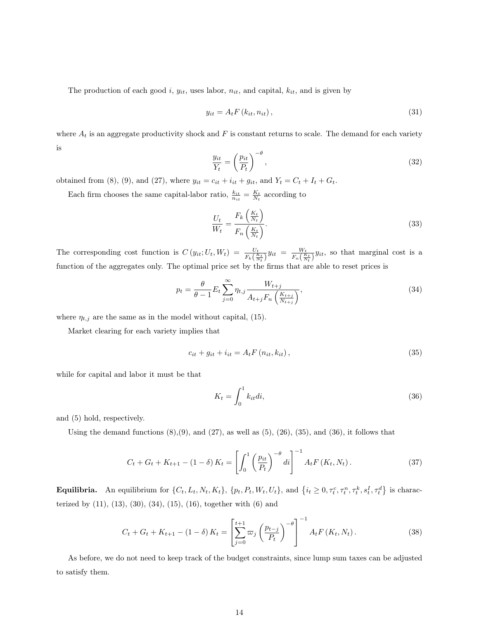The production of each good i,  $y_{it}$ , uses labor,  $n_{it}$ , and capital,  $k_{it}$ , and is given by

$$
y_{it} = A_t F(k_{it}, n_{it}), \qquad (31)
$$

where  $A_t$  is an aggregate productivity shock and F is constant returns to scale. The demand for each variety is

$$
\frac{y_{it}}{Y_t} = \left(\frac{p_{it}}{P_t}\right)^{-\theta},\tag{32}
$$

obtained from (8), (9), and (27), where  $y_{it} = c_{it} + i_{it} + g_{it}$ , and  $Y_t = C_t + I_t + G_t$ .

Each firm chooses the same capital-labor ratio,  $\frac{k_{it}}{n_{it}} = \frac{K_t}{N_t}$  according to

$$
\frac{U_t}{W_t} = \frac{F_k \left(\frac{K_t}{N_t}\right)}{F_n \left(\frac{K_t}{N_t}\right)}.\tag{33}
$$

The corresponding cost function is  $C(y_{it}; U_t, W_t) = \frac{U_t}{F_k(\frac{K_t}{N_t})} y_{it} = \frac{W_t}{F_n(\frac{K_t}{N_t})} y_{it}$ , so that marginal cost is a function of the aggregates only. The optimal price set by the firms that are able to reset prices is

$$
p_t = \frac{\theta}{\theta - 1} E_t \sum_{j=0}^{\infty} \eta_{t,j} \frac{W_{t+j}}{A_{t+j} F_n \left(\frac{K_{t+j}}{N_{t+j}}\right)},
$$
\n(34)

where  $\eta_{t,j}$  are the same as in the model without capital, (15).

Market clearing for each variety implies that

$$
c_{it} + g_{it} + i_{it} = A_t F(n_{it}, k_{it}), \qquad (35)
$$

while for capital and labor it must be that

$$
K_t = \int_0^1 k_{it} di,
$$
\n(36)

and (5) hold, respectively.

Using the demand functions  $(8)(9)$ , and  $(27)$ , as well as  $(5)$ ,  $(26)$ ,  $(35)$ , and  $(36)$ , it follows that

$$
C_t + G_t + K_{t+1} - (1 - \delta) K_t = \left[ \int_0^1 \left( \frac{p_{it}}{P_t} \right)^{-\theta} di \right]^{-1} A_t F(K_t, N_t).
$$
 (37)

**Equilibria.** An equilibrium for  $\{C_t, L_t, N_t, K_t\}$ ,  $\{p_t, P_t, W_t, U_t\}$ , and  $\{i_t \geq 0, \tau_t^c, \tau_t^n, \tau_t^k, s_t^I, \tau_t^d\}$  is characterized by  $(11)$ ,  $(13)$ ,  $(30)$ ,  $(34)$ ,  $(15)$ ,  $(16)$ , together with  $(6)$  and

$$
C_t + G_t + K_{t+1} - (1 - \delta) K_t = \left[ \sum_{j=0}^{t+1} \varpi_j \left( \frac{p_{t-j}}{P_t} \right)^{-\theta} \right]^{-1} A_t F(K_t, N_t).
$$
 (38)

As before, we do not need to keep track of the budget constraints, since lump sum taxes can be adjusted to satisfy them.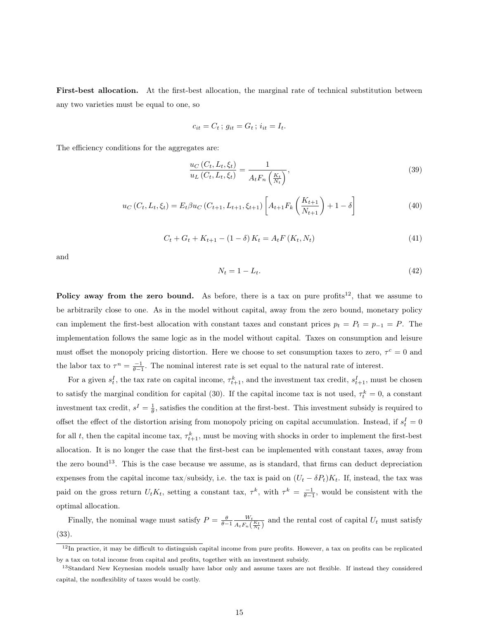First-best allocation. At the first-best allocation, the marginal rate of technical substitution between any two varieties must be equal to one, so

$$
c_{it} = C_t \, ; \, g_{it} = G_t \, ; \, i_{it} = I_t.
$$

The efficiency conditions for the aggregates are:

$$
\frac{u_C(C_t, L_t, \xi_t)}{u_L(C_t, L_t, \xi_t)} = \frac{1}{A_t F_n\left(\frac{K_t}{N_t}\right)},\tag{39}
$$

$$
u_C(C_t, L_t, \xi_t) = E_t \beta u_C(C_{t+1}, L_{t+1}, \xi_{t+1}) \left[ A_{t+1} F_k \left( \frac{K_{t+1}}{N_{t+1}} \right) + 1 - \delta \right]
$$
(40)

$$
C_t + G_t + K_{t+1} - (1 - \delta) K_t = A_t F(K_t, N_t)
$$
\n(41)

and

$$
N_t = 1 - L_t. \tag{42}
$$

Policy away from the zero bound. As before, there is a tax on pure profits<sup>12</sup>, that we assume to be arbitrarily close to one. As in the model without capital, away from the zero bound, monetary policy can implement the first-best allocation with constant taxes and constant prices  $p_t = P_t = p_{-1} = P$ . The implementation follows the same logic as in the model without capital. Taxes on consumption and leisure must offset the monopoly pricing distortion. Here we choose to set consumption taxes to zero,  $\tau^c = 0$  and the labor tax to  $\tau^n = \frac{-1}{\theta - 1}$ . The nominal interest rate is set equal to the natural rate of interest.

For a given  $s_t^I$ , the tax rate on capital income,  $\tau_{t+1}^k$ , and the investment tax credit,  $s_{t+1}^I$ , must be chosen to satisfy the marginal condition for capital (30). If the capital income tax is not used,  $\tau_t^k = 0$ , a constant investment tax credit,  $s^I = \frac{1}{\theta}$ , satisfies the condition at the first-best. This investment subsidy is required to offset the effect of the distortion arising from monopoly pricing on capital accumulation. Instead, if  $s_t^I = 0$ for all t, then the capital income tax,  $\tau_{t+1}^k$ , must be moving with shocks in order to implement the first-best allocation. It is no longer the case that the first-best can be implemented with constant taxes, away from the zero bound<sup>13</sup>. This is the case because we assume, as is standard, that firms can deduct depreciation expenses from the capital income tax/subsidy, i.e. the tax is paid on  $(U_t - \delta P_t)K_t$ . If, instead, the tax was paid on the gross return  $U_t K_t$ , setting a constant tax,  $\tau^k$ , with  $\tau^k = \frac{-1}{\theta - 1}$ , would be consistent with the optimal allocation.

Finally, the nominal wage must satisfy  $P = \frac{\theta}{\theta-1} \frac{W_t}{A_t F_n(\frac{K_t}{N_t})}$  and the rental cost of capital  $U_t$  must satisfy (33).

 $12$ In practice, it may be difficult to distinguish capital income from pure profits. However, a tax on profits can be replicated by a tax on total income from capital and profits, together with an investment subsidy.

<sup>&</sup>lt;sup>13</sup>Standard New Keynesian models usually have labor only and assume taxes are not flexible. If instead they considered capital, the nonflexiblity of taxes would be costly.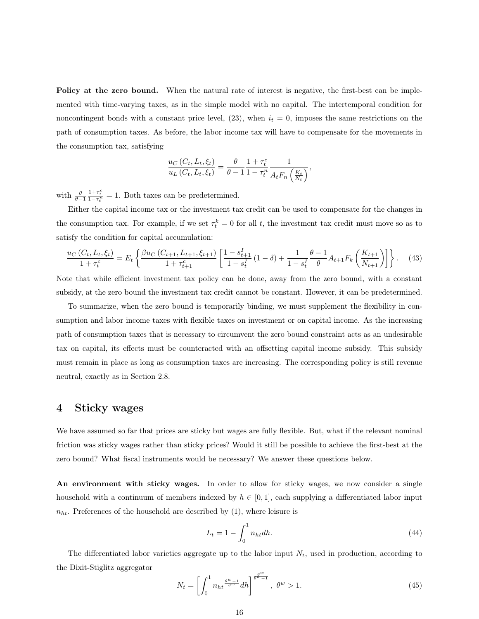Policy at the zero bound. When the natural rate of interest is negative, the first-best can be implemented with time-varying taxes, as in the simple model with no capital. The intertemporal condition for noncontingent bonds with a constant price level, (23), when  $i_t = 0$ , imposes the same restrictions on the path of consumption taxes. As before, the labor income tax will have to compensate for the movements in the consumption tax, satisfying

$$
\frac{u_{C}\left(C_{t},L_{t},\xi_{t}\right)}{u_{L}\left(C_{t},L_{t},\xi_{t}\right)}=\frac{\theta}{\theta-1}\frac{1+\tau_{t}^{c}}{1-\tau_{t}^{n}}\frac{1}{A_{t}F_{n}\left(\frac{K_{t}}{N_{t}}\right)},
$$

with  $\frac{\theta}{\theta-1}$  $\frac{1+\tau_t^c}{1-\tau_t^n} = 1$ . Both taxes can be predetermined.

Either the capital income tax or the investment tax credit can be used to compensate for the changes in the consumption tax. For example, if we set  $\tau_t^k = 0$  for all t, the investment tax credit must move so as to satisfy the condition for capital accumulation:

$$
\frac{u_C(C_t, L_t, \xi_t)}{1 + \tau_t^c} = E_t \left\{ \frac{\beta u_C(C_{t+1}, L_{t+1}, \xi_{t+1})}{1 + \tau_{t+1}^c} \left[ \frac{1 - s_{t+1}^I}{1 - s_t^I} (1 - \delta) + \frac{1}{1 - s_t^I} \frac{\theta - 1}{\theta} A_{t+1} F_k \left( \frac{K_{t+1}}{N_{t+1}} \right) \right] \right\}.
$$
 (43)

Note that while efficient investment tax policy can be done, away from the zero bound, with a constant subsidy, at the zero bound the investment tax credit cannot be constant. However, it can be predetermined.

To summarize, when the zero bound is temporarily binding, we must supplement the flexibility in consumption and labor income taxes with flexible taxes on investment or on capital income. As the increasing path of consumption taxes that is necessary to circumvent the zero bound constraint acts as an undesirable tax on capital, its effects must be counteracted with an offsetting capital income subsidy. This subsidy must remain in place as long as consumption taxes are increasing. The corresponding policy is still revenue neutral, exactly as in Section 2.8.

### 4 Sticky wages

We have assumed so far that prices are sticky but wages are fully flexible. But, what if the relevant nominal friction was sticky wages rather than sticky prices? Would it still be possible to achieve the first-best at the zero bound? What fiscal instruments would be necessary? We answer these questions below.

An environment with sticky wages. In order to allow for sticky wages, we now consider a single household with a continuum of members indexed by  $h \in [0, 1]$ , each supplying a differentiated labor input  $n_{ht}$ . Preferences of the household are described by (1), where leisure is

$$
L_t = 1 - \int_0^1 n_{ht} dh.
$$
\n(44)

The differentiated labor varieties aggregate up to the labor input  $N_t$ , used in production, according to the Dixit-Stiglitz aggregator

$$
N_t = \left[ \int_0^1 n_{ht} \frac{\theta^w - 1}{\theta^w} dh \right] \frac{\theta^w}{\theta^w - 1}, \ \theta^w > 1. \tag{45}
$$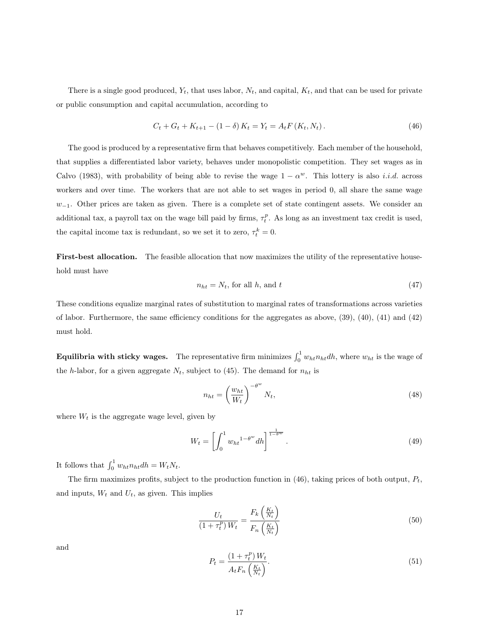There is a single good produced,  $Y_t$ , that uses labor,  $N_t$ , and capital,  $K_t$ , and that can be used for private or public consumption and capital accumulation, according to

$$
C_t + G_t + K_{t+1} - (1 - \delta) K_t = Y_t = A_t F(K_t, N_t).
$$
\n(46)

The good is produced by a representative firm that behaves competitively. Each member of the household, that supplies a differentiated labor variety, behaves under monopolistic competition. They set wages as in Calvo (1983), with probability of being able to revise the wage  $1 - \alpha^w$ . This lottery is also *i.i.d.* across workers and over time. The workers that are not able to set wages in period 0, all share the same wage  $w_{-1}$ . Other prices are taken as given. There is a complete set of state contingent assets. We consider an additional tax, a payroll tax on the wage bill paid by firms,  $\tau_t^p$ . As long as an investment tax credit is used, the capital income tax is redundant, so we set it to zero,  $\tau_t^k = 0$ .

First-best allocation. The feasible allocation that now maximizes the utility of the representative household must have

$$
n_{ht} = N_t, \text{ for all } h, \text{ and } t \tag{47}
$$

These conditions equalize marginal rates of substitution to marginal rates of transformations across varieties of labor. Furthermore, the same efficiency conditions for the aggregates as above, (39), (40), (41) and (42) must hold.

**Equilibria with sticky wages.** The representative firm minimizes  $\int_0^1 w_{ht} n_{ht} dh$ , where  $w_{ht}$  is the wage of the h-labor, for a given aggregate  $N_t$ , subject to (45). The demand for  $n_{ht}$  is

$$
n_{ht} = \left(\frac{w_{ht}}{W_t}\right)^{-\theta^w} N_t,
$$
\n(48)

where  $W_t$  is the aggregate wage level, given by

$$
W_t = \left[ \int_0^1 w_{ht}^{1 - \theta^w} dh \right]^{1 - \theta^w} . \tag{49}
$$

It follows that  $\int_0^1 w_{ht} n_{ht} dh = W_t N_t$ .

The firm maximizes profits, subject to the production function in  $(46)$ , taking prices of both output,  $P_t$ , and inputs,  $W_t$  and  $U_t$ , as given. This implies

$$
\frac{U_t}{\left(1+\tau_t^p\right)W_t} = \frac{F_k\left(\frac{K_t}{N_t}\right)}{F_n\left(\frac{K_t}{N_t}\right)}\tag{50}
$$

and

$$
P_t = \frac{\left(1 + \tau_t^p\right)W_t}{A_t F_n \left(\frac{K_t}{N_t}\right)}.\tag{51}
$$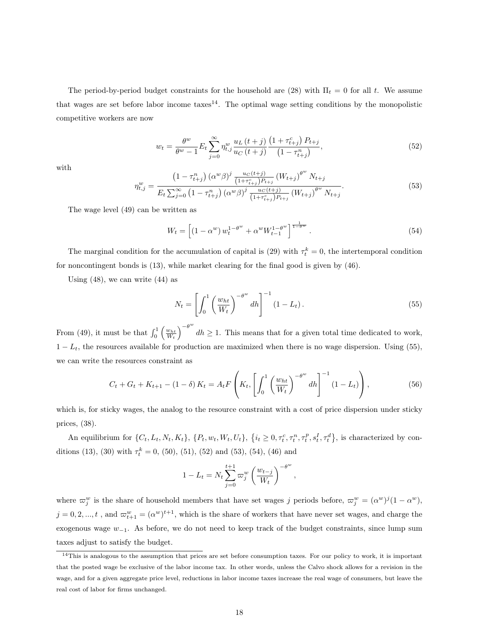The period-by-period budget constraints for the household are (28) with  $\Pi_t = 0$  for all t. We assume that wages are set before labor income taxes<sup>14</sup>. The optimal wage setting conditions by the monopolistic competitive workers are now

$$
w_t = \frac{\theta^w}{\theta^w - 1} E_t \sum_{j=0}^{\infty} \eta_{t,j}^w \frac{u_L(t+j)}{u_C(t+j)} \frac{\left(1 + \tau_{t+j}^c\right) P_{t+j}}{\left(1 - \tau_{t+j}^n\right)},\tag{52}
$$

with

$$
\eta_{t,j}^{w} = \frac{\left(1 - \tau_{t+j}^{n}\right) (\alpha^{w}\beta)^{j} \frac{uc(t+j)}{\left(1 + \tau_{t+j}^{c}\right)P_{t+j}} \left(W_{t+j}\right)^{\theta^{w}} N_{t+j}}{E_{t} \sum_{j=0}^{\infty} \left(1 - \tau_{t+j}^{n}\right) (\alpha^{w}\beta)^{j} \frac{uc(t+j)}{\left(1 + \tau_{t+j}^{c}\right)P_{t+j}} \left(W_{t+j}\right)^{\theta^{w}} N_{t+j}}.
$$
\n
$$
(53)
$$

The wage level (49) can be written as

$$
W_t = \left[ \left( 1 - \alpha^w \right) w_t^{1 - \theta^w} + \alpha^w W_{t-1}^{1 - \theta^w} \right]^{\frac{1}{1 - \theta^w}}.
$$
\n
$$
(54)
$$

The marginal condition for the accumulation of capital is (29) with  $\tau_t^k = 0$ , the intertemporal condition for noncontingent bonds is (13), while market clearing for the final good is given by (46).

Using  $(48)$ , we can write  $(44)$  as

$$
N_t = \left[ \int_0^1 \left( \frac{w_{ht}}{W_t} \right)^{-\theta^w} dh \right]^{-1} (1 - L_t).
$$
 (55)

From (49), it must be that  $\int_0^1 \left(\frac{w_{ht}}{W_t}\right)^{-\theta^w} dh \ge 1$ . This means that for a given total time dedicated to work,  $1 - L_t$ , the resources available for production are maximized when there is no wage dispersion. Using (55), we can write the resources constraint as

$$
C_t + G_t + K_{t+1} - (1 - \delta) K_t = A_t F \left( K_t, \left[ \int_0^1 \left( \frac{w_{ht}}{W_t} \right)^{-\theta^w} dh \right]^{-1} (1 - L_t) \right), \tag{56}
$$

which is, for sticky wages, the analog to the resource constraint with a cost of price dispersion under sticky prices, (38).

An equilibrium for  $\{C_t, L_t, N_t, K_t\}$ ,  $\{P_t, w_t, W_t, U_t\}$ ,  $\{i_t \geq 0, \tau_t^c, \tau_t^n, \tau_t^p, s_t^I, \tau_t^d\}$ , is characterized by conditions (13), (30) with  $\tau_t^k = 0$ , (50), (51), (52) and (53), (54), (46) and

$$
1 - L_t = N_t \sum_{j=0}^{t+1} \varpi_j^w \left( \frac{w_{t-j}}{W_t} \right)^{-\theta^w},
$$

where  $\varpi_j^w$  is the share of household members that have set wages j periods before,  $\varpi_j^w = (\alpha^w)^j (1 - \alpha^w)$ ,  $j = 0, 2, ..., t$ , and  $\varpi_{t+1}^w = (\alpha^w)^{t+1}$ , which is the share of workers that have never set wages, and charge the exogenous wage w<sup>−</sup>1. As before, we do not need to keep track of the budget constraints, since lump sum taxes adjust to satisfy the budget.

 $14$ This is analogous to the assumption that prices are set before consumption taxes. For our policy to work, it is important that the posted wage be exclusive of the labor income tax. In other words, unless the Calvo shock allows for a revision in the wage, and for a given aggregate price level, reductions in labor income taxes increase the real wage of consumers, but leave the real cost of labor for firms unchanged.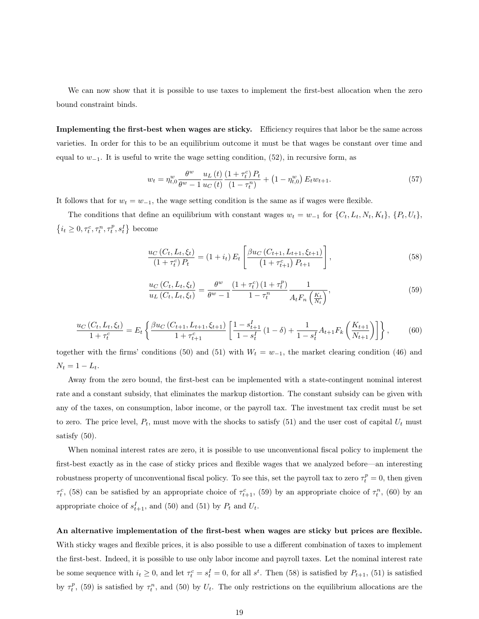We can now show that it is possible to use taxes to implement the first-best allocation when the zero bound constraint binds.

Implementing the first-best when wages are sticky. Efficiency requires that labor be the same across varieties. In order for this to be an equilibrium outcome it must be that wages be constant over time and equal to  $w_{-1}$ . It is useful to write the wage setting condition, (52), in recursive form, as

$$
w_t = \eta_{t,0}^w \frac{\theta^w}{\theta^w - 1} \frac{u_L(t)}{u_C(t)} \frac{(1 + \tau_t^c) P_t}{(1 - \tau_t^n)} + (1 - \eta_{t,0}^w) E_t w_{t+1}.
$$
\n
$$
(57)
$$

It follows that for  $w_t = w_{-1}$ , the wage setting condition is the same as if wages were flexible.

The conditions that define an equilibrium with constant wages  $w_t = w_{-1}$  for  $\{C_t, L_t, N_t, K_t\}, \{P_t, U_t\},$  $\left\{i_t \geq 0, \tau_t^c, \tau_t^n, \tau_t^p, s_t^I \right\}$  become

$$
\frac{u_C(C_t, L_t, \xi_t)}{(1 + \tau_t^c) P_t} = (1 + i_t) E_t \left[ \frac{\beta u_C(C_{t+1}, L_{t+1}, \xi_{t+1})}{(1 + \tau_{t+1}^c) P_{t+1}} \right],
$$
\n(58)

$$
\frac{u_C(C_t, L_t, \xi_t)}{u_L(C_t, L_t, \xi_t)} = \frac{\theta^w}{\theta^w - 1} \frac{(1 + \tau_t^c)(1 + \tau_t^p)}{1 - \tau_t^n} \frac{1}{A_t F_n\left(\frac{K_t}{N_t}\right)},\tag{59}
$$

$$
\frac{u_C(C_t, L_t, \xi_t)}{1 + \tau_t^c} = E_t \left\{ \frac{\beta u_C(C_{t+1}, L_{t+1}, \xi_{t+1})}{1 + \tau_{t+1}^c} \left[ \frac{1 - s_{t+1}^I}{1 - s_t^I} (1 - \delta) + \frac{1}{1 - s_t^I} A_{t+1} F_k \left( \frac{K_{t+1}}{N_{t+1}} \right) \right] \right\},\tag{60}
$$

together with the firms' conditions (50) and (51) with  $W_t = w_{-1}$ , the market clearing condition (46) and  $N_t = 1 - L_t.$ 

Away from the zero bound, the first-best can be implemented with a state-contingent nominal interest rate and a constant subsidy, that eliminates the markup distortion. The constant subsidy can be given with any of the taxes, on consumption, labor income, or the payroll tax. The investment tax credit must be set to zero. The price level,  $P_t$ , must move with the shocks to satisfy (51) and the user cost of capital  $U_t$  must satisfy (50).

When nominal interest rates are zero, it is possible to use unconventional fiscal policy to implement the first-best exactly as in the case of sticky prices and flexible wages that we analyzed before—an interesting robustness property of unconventional fiscal policy. To see this, set the payroll tax to zero  $\tau_t^p = 0$ , then given  $\tau_t^c$ , (58) can be satisfied by an appropriate choice of  $\tau_{t+1}^c$ , (59) by an appropriate choice of  $\tau_t^n$ , (60) by an appropriate choice of  $s_{t+1}^I$ , and (50) and (51) by  $P_t$  and  $U_t$ .

# An alternative implementation of the first-best when wages are sticky but prices are flexible. With sticky wages and flexible prices, it is also possible to use a different combination of taxes to implement the first-best. Indeed, it is possible to use only labor income and payroll taxes. Let the nominal interest rate be some sequence with  $i_t \geq 0$ , and let  $\tau_t^c = s_t^I = 0$ , for all  $s^t$ . Then (58) is satisfied by  $P_{t+1}$ , (51) is satisfied by  $\tau_t^p$ , (59) is satisfied by  $\tau_t^n$ , and (50) by  $U_t$ . The only restrictions on the equilibrium allocations are the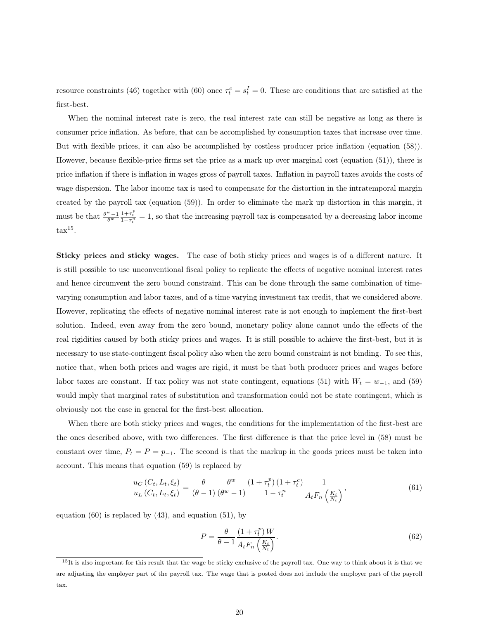resource constraints (46) together with (60) once  $\tau_t^c = s_t^I = 0$ . These are conditions that are satisfied at the first-best.

When the nominal interest rate is zero, the real interest rate can still be negative as long as there is consumer price inflation. As before, that can be accomplished by consumption taxes that increase over time. But with flexible prices, it can also be accomplished by costless producer price inflation (equation (58)). However, because flexible-price firms set the price as a mark up over marginal cost (equation (51)), there is price inflation if there is inflation in wages gross of payroll taxes. Inflation in payroll taxes avoids the costs of wage dispersion. The labor income tax is used to compensate for the distortion in the intratemporal margin created by the payroll tax (equation (59)). In order to eliminate the mark up distortion in this margin, it must be that  $\frac{\theta^w - 1}{\theta^w}$  $\frac{1+\tau_t^p}{1-\tau_t^n} = 1$ , so that the increasing payroll tax is compensated by a decreasing labor income  $\text{tax}^{15}$ .

Sticky prices and sticky wages. The case of both sticky prices and wages is of a different nature. It is still possible to use unconventional fiscal policy to replicate the effects of negative nominal interest rates and hence circumvent the zero bound constraint. This can be done through the same combination of timevarying consumption and labor taxes, and of a time varying investment tax credit, that we considered above. However, replicating the effects of negative nominal interest rate is not enough to implement the first-best solution. Indeed, even away from the zero bound, monetary policy alone cannot undo the effects of the real rigidities caused by both sticky prices and wages. It is still possible to achieve the first-best, but it is necessary to use state-contingent fiscal policy also when the zero bound constraint is not binding. To see this, notice that, when both prices and wages are rigid, it must be that both producer prices and wages before labor taxes are constant. If tax policy was not state contingent, equations (51) with  $W_t = w_{-1}$ , and (59) would imply that marginal rates of substitution and transformation could not be state contingent, which is obviously not the case in general for the first-best allocation.

When there are both sticky prices and wages, the conditions for the implementation of the first-best are the ones described above, with two differences. The first difference is that the price level in (58) must be constant over time,  $P_t = P = p_{-1}$ . The second is that the markup in the goods prices must be taken into account. This means that equation (59) is replaced by

$$
\frac{u_C(C_t, L_t, \xi_t)}{u_L(C_t, L_t, \xi_t)} = \frac{\theta}{(\theta - 1)} \frac{\theta^w}{(\theta^w - 1)} \frac{\left(1 + \tau_t^p\right)\left(1 + \tau_t^c\right)}{1 - \tau_t^n} \frac{1}{A_t F_n\left(\frac{K_t}{N_t}\right)},\tag{61}
$$

equation  $(60)$  is replaced by  $(43)$ , and equation  $(51)$ , by

$$
P = \frac{\theta}{\theta - 1} \frac{\left(1 + \tau_t^p\right) W}{A_t F_n \left(\frac{K_t}{N_t}\right)}.\tag{62}
$$

<sup>&</sup>lt;sup>15</sup>It is also important for this result that the wage be sticky exclusive of the payroll tax. One way to think about it is that we are adjusting the employer part of the payroll tax. The wage that is posted does not include the employer part of the payroll tax.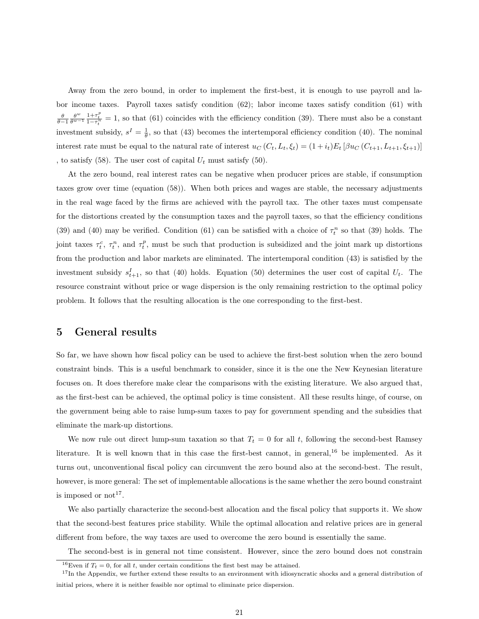Away from the zero bound, in order to implement the first-best, it is enough to use payroll and labor income taxes. Payroll taxes satisfy condition (62); labor income taxes satisfy condition (61) with  $\frac{\theta}{\theta-1} \frac{\theta^w}{\theta^w}$  $\overline{\theta^{w-1}}$  $\frac{1+\tau_t^p}{1-\tau_t^n} = 1$ , so that (61) coincides with the efficiency condition (39). There must also be a constant investment subsidy,  $s^I = \frac{1}{\theta}$ , so that (43) becomes the intertemporal efficiency condition (40). The nominal interest rate must be equal to the natural rate of interest  $u_C(C_t, L_t, \xi_t) = (1 + i_t)E_t[\beta u_C(C_{t+1}, L_{t+1}, \xi_{t+1})]$ , to satisfy  $(58)$ . The user cost of capital  $U_t$  must satisfy  $(50)$ .

At the zero bound, real interest rates can be negative when producer prices are stable, if consumption taxes grow over time (equation (58)). When both prices and wages are stable, the necessary adjustments in the real wage faced by the firms are achieved with the payroll tax. The other taxes must compensate for the distortions created by the consumption taxes and the payroll taxes, so that the efficiency conditions (39) and (40) may be verified. Condition (61) can be satisfied with a choice of  $\tau_t^n$  so that (39) holds. The joint taxes  $\tau_t^c$ ,  $\tau_t^n$ , and  $\tau_t^p$ , must be such that production is subsidized and the joint mark up distortions from the production and labor markets are eliminated. The intertemporal condition (43) is satisfied by the investment subsidy  $s_{t+1}^I$ , so that (40) holds. Equation (50) determines the user cost of capital  $U_t$ . The resource constraint without price or wage dispersion is the only remaining restriction to the optimal policy problem. It follows that the resulting allocation is the one corresponding to the first-best.

# 5 General results

So far, we have shown how fiscal policy can be used to achieve the first-best solution when the zero bound constraint binds. This is a useful benchmark to consider, since it is the one the New Keynesian literature focuses on. It does therefore make clear the comparisons with the existing literature. We also argued that, as the first-best can be achieved, the optimal policy is time consistent. All these results hinge, of course, on the government being able to raise lump-sum taxes to pay for government spending and the subsidies that eliminate the mark-up distortions.

We now rule out direct lump-sum taxation so that  $T_t = 0$  for all t, following the second-best Ramsey literature. It is well known that in this case the first-best cannot, in general,<sup>16</sup> be implemented. As it turns out, unconventional fiscal policy can circumvent the zero bound also at the second-best. The result, however, is more general: The set of implementable allocations is the same whether the zero bound constraint is imposed or  $not^{17}$ .

We also partially characterize the second-best allocation and the fiscal policy that supports it. We show that the second-best features price stability. While the optimal allocation and relative prices are in general different from before, the way taxes are used to overcome the zero bound is essentially the same.

The second-best is in general not time consistent. However, since the zero bound does not constrain

<sup>&</sup>lt;sup>16</sup>Even if  $T_t = 0$ , for all t, under certain conditions the first best may be attained.

<sup>&</sup>lt;sup>17</sup>In the Appendix, we further extend these results to an environment with idiosyncratic shocks and a general distribution of initial prices, where it is neither feasible nor optimal to eliminate price dispersion.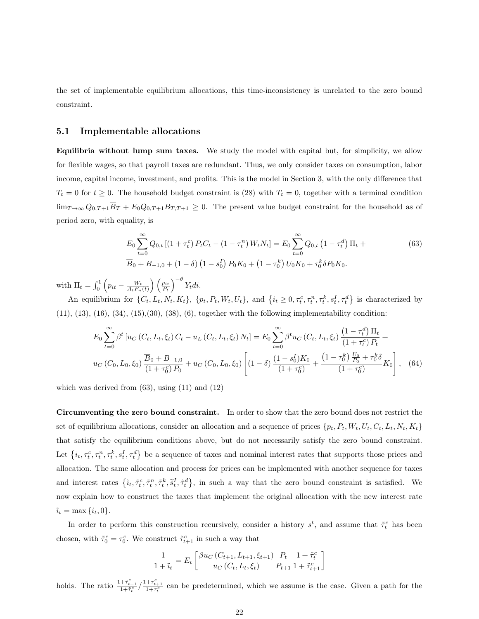the set of implementable equilibrium allocations, this time-inconsistency is unrelated to the zero bound constraint.

#### 5.1 Implementable allocations

Equilibria without lump sum taxes. We study the model with capital but, for simplicity, we allow for flexible wages, so that payroll taxes are redundant. Thus, we only consider taxes on consumption, labor income, capital income, investment, and profits. This is the model in Section 3, with the only difference that  $T_t = 0$  for  $t \geq 0$ . The household budget constraint is (28) with  $T_t = 0$ , together with a terminal condition  $\lim_{T\to\infty} Q_{0,T+1}\overline{B}_T + E_0 Q_{0,T+1}B_{T,T+1} \geq 0$ . The present value budget constraint for the household as of period zero, with equality, is

$$
E_0 \sum_{t=0}^{\infty} Q_{0,t} [(1 + \tau_t^c) P_t C_t - (1 - \tau_t^n) W_t N_t] = E_0 \sum_{t=0}^{\infty} Q_{0,t} (1 - \tau_t^d) \Pi_t +
$$
  
\n
$$
\overline{B}_0 + B_{-1,0} + (1 - \delta) (1 - s_0^l) P_0 K_0 + (1 - \tau_0^k) U_0 K_0 + \tau_0^k \delta P_0 K_0.
$$
\n(63)

with  $\Pi_t = \int_0^1 \left( p_{it} - \frac{W_t}{A_t F_n(t)} \right) \left( \frac{p_{it}}{P_t} \right)^{-\theta} Y_t dt$ .

An equilibrium for  $\{C_t, L_t, N_t, K_t\}$ ,  $\{p_t, P_t, W_t, U_t\}$ , and  $\{i_t \geq 0, \tau_t^c, \tau_t^n, \tau_t^k, s_t^I, \tau_t^d\}$  is characterized by (11), (13), (16), (34), (15),(30), (38), (6), together with the following implementability condition:

$$
E_0 \sum_{t=0}^{\infty} \beta^t \left[ u_C \left( C_t, L_t, \xi_t \right) C_t - u_L \left( C_t, L_t, \xi_t \right) N_t \right] = E_0 \sum_{t=0}^{\infty} \beta^t u_C \left( C_t, L_t, \xi_t \right) \frac{\left( 1 - \tau_t^d \right) \Pi_t}{\left( 1 + \tau_t^c \right) P_t} + u_C \left( C_0, L_0, \xi_0 \right) \frac{\overline{B}_0 + B_{-1,0}}{\left( 1 + \tau_0^c \right) P_0} + u_C \left( C_0, L_0, \xi_0 \right) \left[ \left( 1 - \delta \right) \frac{\left( 1 - s_0^l \right) K_0}{\left( 1 + \tau_0^c \right)} + \frac{\left( 1 - \tau_0^k \right) \frac{U_0}{P_0} + \tau_0^k \delta}{\left( 1 + \tau_0^c \right)} K_0 \right], \quad (64)
$$

which was derived from  $(63)$ , using  $(11)$  and  $(12)$ 

Circumventing the zero bound constraint. In order to show that the zero bound does not restrict the set of equilibrium allocations, consider an allocation and a sequence of prices  $\{p_t, P_t, W_t, U_t, C_t, L_t, N_t, K_t\}$ that satisfy the equilibrium conditions above, but do not necessarily satisfy the zero bound constraint. Let  $\{i_t, \tau_t^c, \tau_t^n, \tau_t^k, s_t^I, \tau_t^d\}$  be a sequence of taxes and nominal interest rates that supports those prices and allocation. The same allocation and process for prices can be implemented with another sequence for taxes and interest rates  $\{\tilde{i}_t, \tilde{\tau}_t^c, \tilde{\tau}_t^n, \tilde{\tau}_t^k, \tilde{s}_t^l, \tilde{\tau}_t^d\}$ , in such a way that the zero bound constraint is satisfied. We now explain how to construct the taxes that implement the original allocation with the new interest rate  $\tilde{i}_t = \max\{i_t, 0\}.$ 

In order to perform this construction recursively, consider a history  $s^t$ , and assume that  $\tilde{\tau}_t^c$  has been chosen, with  $\tilde{\tau}_0^c = \tau_0^c$ . We construct  $\tilde{\tau}_{t+1}^c$  in such a way that

$$
\frac{1}{1+\tilde{i}_t} = E_t \left[ \frac{\beta u_C (C_{t+1}, L_{t+1}, \xi_{t+1})}{u_C (C_t, L_t, \xi_t)} \frac{P_t}{P_{t+1}} \frac{1 + \tilde{\tau}_t^c}{1 + \tilde{\tau}_{t+1}^c} \right]
$$

holds. The ratio  $\frac{1+\tilde{r}_{t+1}^c}{1+\tilde{r}_t^c}/\frac{1+\tilde{r}_{t+1}^c}{1+\tilde{r}_t^c}$  can be predetermined, which we assume is the case. Given a path for the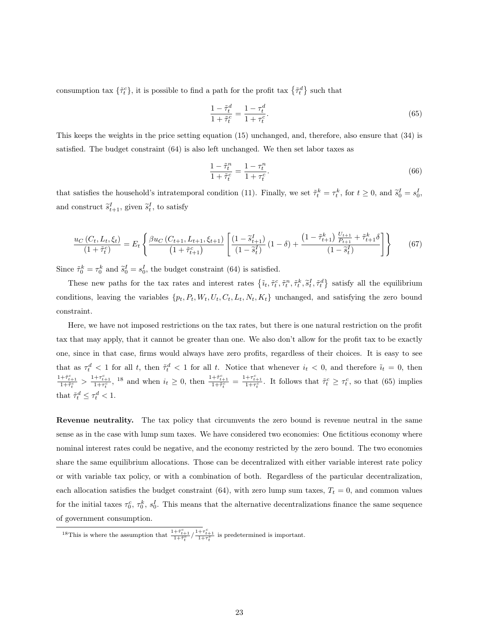consumption tax  $\{\tilde{\tau}_t^c\}$ , it is possible to find a path for the profit tax  $\{\tilde{\tau}_t^d\}$  such that

$$
\frac{1-\tilde{\tau}_t^d}{1+\tilde{\tau}_t^c} = \frac{1-\tau_t^d}{1+\tau_t^c}.\tag{65}
$$

This keeps the weights in the price setting equation (15) unchanged, and, therefore, also ensure that (34) is satisfied. The budget constraint (64) is also left unchanged. We then set labor taxes as

$$
\frac{1-\tilde{\tau}_t^n}{1+\tilde{\tau}_t^c} = \frac{1-\tau_t^n}{1+\tau_t^c}.\tag{66}
$$

that satisfies the household's intratemporal condition (11). Finally, we set  $\tilde{\tau}_t^k = \tau_t^k$ , for  $t \ge 0$ , and  $\tilde{s}_0^I = s_0^I$ , and construct  $\tilde{s}_{t+1}^I$ , given  $\tilde{s}_t^I$ , to satisfy

$$
\frac{u_C(C_t, L_t, \xi_t)}{(1 + \tilde{\tau}_t^c)} = E_t \left\{ \frac{\beta u_C(C_{t+1}, L_{t+1}, \xi_{t+1})}{(1 + \tilde{\tau}_{t+1}^c)} \left[ \frac{(1 - \tilde{s}_{t+1}^I)}{(1 - \tilde{s}_t^I)} (1 - \delta) + \frac{(1 - \tilde{\tau}_{t+1}^k) \frac{U_{t+1}}{P_{t+1}} + \tilde{\tau}_{t+1}^k \delta}{(1 - \tilde{s}_t^I)} \right] \right\}
$$
(67)

Since  $\tilde{\tau}_0^k = \tau_0^k$  and  $\tilde{s}_0^I = s_0^I$ , the budget constraint (64) is satisfied.

These new paths for the tax rates and interest rates  $\{\tilde{i}_t, \tilde{\tau}_t^c, \tilde{\tau}_t^n, \tilde{\tau}_t^k, \tilde{s}_t^l, \tilde{\tau}_t^d\}$  satisfy all the equilibrium conditions, leaving the variables  $\{p_t, P_t, W_t, U_t, C_t, L_t, N_t, K_t\}$  unchanged, and satisfying the zero bound constraint.

Here, we have not imposed restrictions on the tax rates, but there is one natural restriction on the profit tax that may apply, that it cannot be greater than one. We also don't allow for the profit tax to be exactly one, since in that case, firms would always have zero profits, regardless of their choices. It is easy to see that as  $\tau_t^d < 1$  for all t, then  $\tilde{\tau}_t^d < 1$  for all t. Notice that whenever  $i_t < 0$ , and therefore  $\tilde{i}_t = 0$ , then  $\frac{1+\tilde{\tau}_{t+1}^c}{1+\tilde{\tau}_t^c}$   $> \frac{1+r_{t+1}^c}{1+\tilde{\tau}_t^c}$ , 18 and when  $i_t \geq 0$ , then  $\frac{1+\tilde{\tau}_{t+1}^c}{1+\tilde{\tau}_t^c} = \frac{1+r_{t+1}^c}{1+r_t^c}$ . It follows that  $\tilde{\tau}_t^c \geq \tau_t^c$ , so that (65) implies that  $\tilde{\tau}_t^d \leq \tau_t^d < 1$ .

Revenue neutrality. The tax policy that circumvents the zero bound is revenue neutral in the same sense as in the case with lump sum taxes. We have considered two economies: One fictitious economy where nominal interest rates could be negative, and the economy restricted by the zero bound. The two economies share the same equilibrium allocations. Those can be decentralized with either variable interest rate policy or with variable tax policy, or with a combination of both. Regardless of the particular decentralization, each allocation satisfies the budget constraint (64), with zero lump sum taxes,  $T_t = 0$ , and common values for the initial taxes  $\tau_0^c$ ,  $\tau_0^k$ ,  $s_0^I$ . This means that the alternative decentralizations finance the same sequence of government consumption.

<sup>&</sup>lt;sup>18</sup>This is where the assumption that  $\frac{1+\tilde{r}_{t+1}^c}{1+\tilde{r}_t^c}/\frac{1+r_{t+1}^c}{1+\tau_t^c}$  is predetermined is important.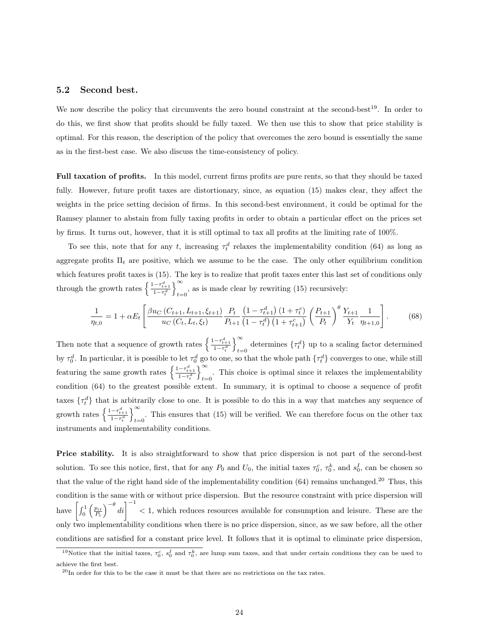#### 5.2 Second best.

We now describe the policy that circumvents the zero bound constraint at the second-best<sup>19</sup>. In order to do this, we first show that profits should be fully taxed. We then use this to show that price stability is optimal. For this reason, the description of the policy that overcomes the zero bound is essentially the same as in the first-best case. We also discuss the time-consistency of policy.

Full taxation of profits. In this model, current firms profits are pure rents, so that they should be taxed fully. However, future profit taxes are distortionary, since, as equation (15) makes clear, they affect the weights in the price setting decision of firms. In this second-best environment, it could be optimal for the Ramsey planner to abstain from fully taxing profits in order to obtain a particular effect on the prices set by firms. It turns out, however, that it is still optimal to tax all profits at the limiting rate of 100%.

To see this, note that for any t, increasing  $\tau_t^d$  relaxes the implementability condition (64) as long as aggregate profits  $\Pi_t$  are positive, which we assume to be the case. The only other equilibrium condition which features profit taxes is (15). The key is to realize that profit taxes enter this last set of conditions only through the growth rates  $\left\{\frac{1-\tau_{t+1}^d}{1-\tau_t^d}\right\}$  $\iota^\infty$  $t=0$ , as is made clear by rewriting (15) recursively:

$$
\frac{1}{\eta_{t,0}} = 1 + \alpha E_t \left[ \frac{\beta u_C \left( C_{t+1}, L_{t+1}, \xi_{t+1} \right)}{u_C \left( C_t, L_t, \xi_t \right)} \frac{P_t}{P_{t+1}} \frac{\left( 1 - \tau_{t+1}^d \right) \left( 1 + \tau_t^c \right)}{\left( 1 - \tau_t^d \right) \left( 1 + \tau_{t+1}^c \right)} \left( \frac{P_{t+1}}{P_t} \right)^{\theta} \frac{Y_{t+1}}{Y_t} \frac{1}{\eta_{t+1,0}} \right]. \tag{68}
$$

Then note that a sequence of growth rates  $\left\{ \frac{1-\tau_{t+1}^d}{1-\tau_t^d} \right\}$  $\iota^{\infty}$ determines  $\{\tau_t^d\}$  up to a scaling factor determined by  $\tau_0^d$ . In particular, it is possible to let  $\tau_0^d$  go to one, so that the whole path  $\{\tau_t^d\}$  converges to one, while still featuring the same growth rates  $\left\{ \frac{1-\tau_{t+1}^d}{1-\tau_t^d} \right.$  $\int_{-\infty}^{\infty}$ . This choice is optimal since it relaxes the implementability  $\displaystyle t\text{=}0$ condition (64) to the greatest possible extent. In summary, it is optimal to choose a sequence of profit taxes  $\{\tau_t^d\}$  that is arbitrarily close to one. It is possible to do this in a way that matches any sequence of growth rates  $\left\{\frac{1-\tau_{t+1}^d}{1-\tau_t^d}\right\}$  $\iota^{\infty}$ . This ensures that (15) will be verified. We can therefore focus on the other tax instruments and implementability conditions.

Price stability. It is also straightforward to show that price dispersion is not part of the second-best solution. To see this notice, first, that for any  $P_0$  and  $U_0$ , the initial taxes  $\tau_0^c$ ,  $\tau_0^k$ , and  $s_0^I$ , can be chosen so that the value of the right hand side of the implementability condition  $(64)$  remains unchanged.<sup>20</sup> Thus, this condition is the same with or without price dispersion. But the resource constraint with price dispersion will have  $\left[\int_0^1 \left(\frac{p_{it}}{P_t}\right)^{-\theta} di\right]^{-1}$  < 1, which reduces resources available for consumption and leisure. These are the only two implementability conditions when there is no price dispersion, since, as we saw before, all the other conditions are satisfied for a constant price level. It follows that it is optimal to eliminate price dispersion,

<sup>&</sup>lt;sup>19</sup>Notice that the initial taxes,  $\tau_0^c$ ,  $s_0^I$  and  $\tau_0^k$ , are lump sum taxes, and that under certain conditions they can be used to achieve the first best.

 $^{20}$ In order for this to be the case it must be that there are no restrictions on the tax rates.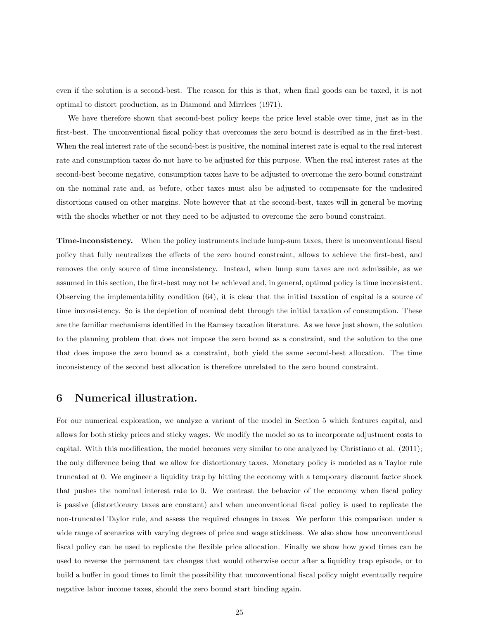even if the solution is a second-best. The reason for this is that, when final goods can be taxed, it is not optimal to distort production, as in Diamond and Mirrlees (1971).

We have therefore shown that second-best policy keeps the price level stable over time, just as in the first-best. The unconventional fiscal policy that overcomes the zero bound is described as in the first-best. When the real interest rate of the second-best is positive, the nominal interest rate is equal to the real interest rate and consumption taxes do not have to be adjusted for this purpose. When the real interest rates at the second-best become negative, consumption taxes have to be adjusted to overcome the zero bound constraint on the nominal rate and, as before, other taxes must also be adjusted to compensate for the undesired distortions caused on other margins. Note however that at the second-best, taxes will in general be moving with the shocks whether or not they need to be adjusted to overcome the zero bound constraint.

Time-inconsistency. When the policy instruments include lump-sum taxes, there is unconventional fiscal policy that fully neutralizes the effects of the zero bound constraint, allows to achieve the first-best, and removes the only source of time inconsistency. Instead, when lump sum taxes are not admissible, as we assumed in this section, the first-best may not be achieved and, in general, optimal policy is time inconsistent. Observing the implementability condition (64), it is clear that the initial taxation of capital is a source of time inconsistency. So is the depletion of nominal debt through the initial taxation of consumption. These are the familiar mechanisms identified in the Ramsey taxation literature. As we have just shown, the solution to the planning problem that does not impose the zero bound as a constraint, and the solution to the one that does impose the zero bound as a constraint, both yield the same second-best allocation. The time inconsistency of the second best allocation is therefore unrelated to the zero bound constraint.

### 6 Numerical illustration.

For our numerical exploration, we analyze a variant of the model in Section 5 which features capital, and allows for both sticky prices and sticky wages. We modify the model so as to incorporate adjustment costs to capital. With this modification, the model becomes very similar to one analyzed by Christiano et al. (2011); the only difference being that we allow for distortionary taxes. Monetary policy is modeled as a Taylor rule truncated at 0. We engineer a liquidity trap by hitting the economy with a temporary discount factor shock that pushes the nominal interest rate to 0. We contrast the behavior of the economy when fiscal policy is passive (distortionary taxes are constant) and when unconventional fiscal policy is used to replicate the non-truncated Taylor rule, and assess the required changes in taxes. We perform this comparison under a wide range of scenarios with varying degrees of price and wage stickiness. We also show how unconventional fiscal policy can be used to replicate the flexible price allocation. Finally we show how good times can be used to reverse the permanent tax changes that would otherwise occur after a liquidity trap episode, or to build a buffer in good times to limit the possibility that unconventional fiscal policy might eventually require negative labor income taxes, should the zero bound start binding again.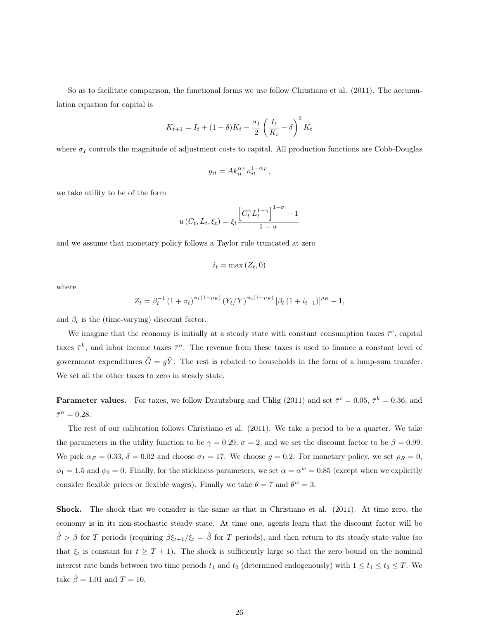So as to facilitate comparison, the functional forms we use follow Christiano et al. (2011). The accumulation equation for capital is

$$
K_{t+1} = I_t + (1 - \delta)K_t - \frac{\sigma_I}{2} \left(\frac{I_t}{K_t} - \delta\right)^2 K_t
$$

where  $\sigma_I$  controls the magnitude of adjustment costs to capital. All production functions are Cobb-Douglas

$$
y_{it} = Ak_{it}^{\alpha_F} n_{it}^{1-\alpha_F},
$$

we take utility to be of the form

$$
u(C_t, L_t, \xi_t) = \xi_t \frac{\left[C_t^{\gamma} L_t^{1-\gamma}\right]^{1-\sigma} - 1}{1-\sigma}
$$

and we assume that monetary policy follows a Taylor rule truncated at zero

$$
i_t = \max\left(Z_t, 0\right)
$$

where

$$
Z_t = \beta_t^{-1} (1 + \pi_t)^{\phi_1 (1 - \rho_R)} (Y_t/Y)^{\phi_2 (1 - \rho_R)} [\beta_t (1 + i_{t-1})]^{\rho_R} - 1,
$$

and  $\beta_t$  is the (time-varying) discount factor.

We imagine that the economy is initially at a steady state with constant consumption taxes  $\bar{\tau}^c$ , capital taxes  $\bar{\tau}^k$ , and labor income taxes  $\bar{\tau}^n$ . The revenue from these taxes is used to finance a constant level of government expenditures  $\bar{G} = g\bar{Y}$ . The rest is rebated to households in the form of a lump-sum transfer. We set all the other taxes to zero in steady state.

**Parameter values.** For taxes, we follow Drautzburg and Uhlig (2011) and set  $\bar{\tau}^c = 0.05$ ,  $\bar{\tau}^k = 0.36$ , and  $\bar{\tau}^n = 0.28.$ 

The rest of our calibration follows Christiano et al. (2011). We take a period to be a quarter. We take the parameters in the utility function to be  $\gamma = 0.29$ ,  $\sigma = 2$ , and we set the discount factor to be  $\beta = 0.99$ . We pick  $\alpha_F = 0.33$ ,  $\delta = 0.02$  and choose  $\sigma_I = 17$ . We choose  $g = 0.2$ . For monetary policy, we set  $\rho_R = 0$ ,  $\phi_1 = 1.5$  and  $\phi_2 = 0$ . Finally, for the stickiness parameters, we set  $\alpha = \alpha^w = 0.85$  (except when we explicitly consider flexible prices or flexible wages). Finally we take  $\theta = 7$  and  $\theta^w = 3$ .

Shock. The shock that we consider is the same as that in Christiano et al. (2011). At time zero, the economy is in its non-stochastic steady state. At time one, agents learn that the discount factor will be  $\hat{\beta} > \beta$  for T periods (requiring  $\beta \xi_{t+1}/\xi_t = \hat{\beta}$  for T periods), and then return to its steady state value (so that  $\xi_t$  is constant for  $t \geq T + 1$ . The shock is sufficiently large so that the zero bound on the nominal interest rate binds between two time periods  $t_1$  and  $t_2$  (determined endogenously) with  $1 \le t_1 \le t_2 \le T$ . We take  $\hat{\beta} = 1.01$  and  $T = 10$ .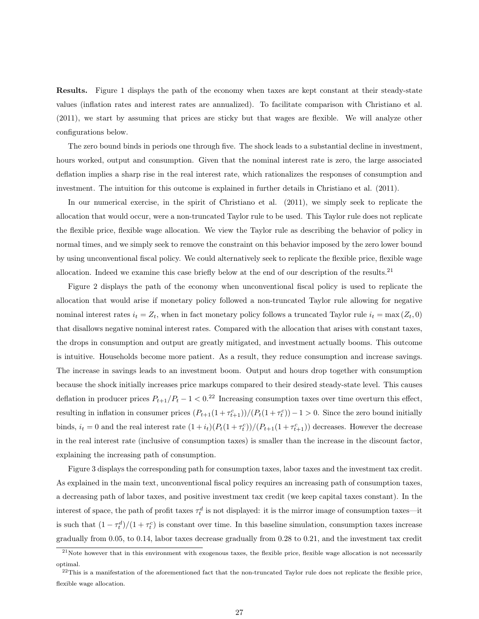Results. Figure 1 displays the path of the economy when taxes are kept constant at their steady-state values (inflation rates and interest rates are annualized). To facilitate comparison with Christiano et al. (2011), we start by assuming that prices are sticky but that wages are flexible. We will analyze other configurations below.

The zero bound binds in periods one through five. The shock leads to a substantial decline in investment, hours worked, output and consumption. Given that the nominal interest rate is zero, the large associated deflation implies a sharp rise in the real interest rate, which rationalizes the responses of consumption and investment. The intuition for this outcome is explained in further details in Christiano et al. (2011).

In our numerical exercise, in the spirit of Christiano et al. (2011), we simply seek to replicate the allocation that would occur, were a non-truncated Taylor rule to be used. This Taylor rule does not replicate the flexible price, flexible wage allocation. We view the Taylor rule as describing the behavior of policy in normal times, and we simply seek to remove the constraint on this behavior imposed by the zero lower bound by using unconventional fiscal policy. We could alternatively seek to replicate the flexible price, flexible wage allocation. Indeed we examine this case briefly below at the end of our description of the results.<sup>21</sup>

Figure 2 displays the path of the economy when unconventional fiscal policy is used to replicate the allocation that would arise if monetary policy followed a non-truncated Taylor rule allowing for negative nominal interest rates  $i_t = Z_t$ , when in fact monetary policy follows a truncated Taylor rule  $i_t = \max(Z_t, 0)$ that disallows negative nominal interest rates. Compared with the allocation that arises with constant taxes, the drops in consumption and output are greatly mitigated, and investment actually booms. This outcome is intuitive. Households become more patient. As a result, they reduce consumption and increase savings. The increase in savings leads to an investment boom. Output and hours drop together with consumption because the shock initially increases price markups compared to their desired steady-state level. This causes deflation in producer prices  $P_{t+1}/P_t - 1 < 0.22$  Increasing consumption taxes over time overturn this effect, resulting in inflation in consumer prices  $(P_{t+1}(1+\tau_{t+1}^c))/(P_t(1+\tau_t^c))-1>0$ . Since the zero bound initially binds,  $i_t = 0$  and the real interest rate  $(1 + i_t)(P_t(1 + \tau_t^c))/(P_{t+1}(1 + \tau_{t+1}^c))$  decreases. However the decrease in the real interest rate (inclusive of consumption taxes) is smaller than the increase in the discount factor, explaining the increasing path of consumption.

Figure 3 displays the corresponding path for consumption taxes, labor taxes and the investment tax credit. As explained in the main text, unconventional fiscal policy requires an increasing path of consumption taxes, a decreasing path of labor taxes, and positive investment tax credit (we keep capital taxes constant). In the interest of space, the path of profit taxes  $\tau_t^d$  is not displayed: it is the mirror image of consumption taxes—it is such that  $(1 - \tau_t^d)/(1 + \tau_t^c)$  is constant over time. In this baseline simulation, consumption taxes increase gradually from 0.05, to 0.14, labor taxes decrease gradually from 0.28 to 0.21, and the investment tax credit

 $21$ Note however that in this environment with exogenous taxes, the flexible price, flexible wage allocation is not necessarily optimal.

 $^{22}$ This is a manifestation of the aforementioned fact that the non-truncated Taylor rule does not replicate the flexible price, flexible wage allocation.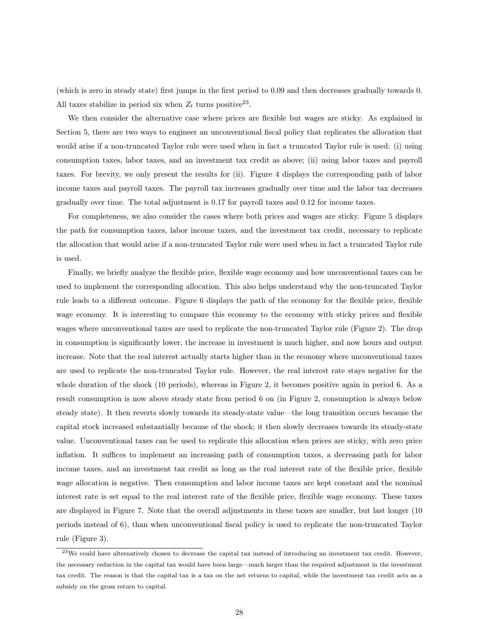(which is zero in steady state) first jumps in the first period to 0.09 and then decreases gradually towards 0. All taxes stabilize in period six when  $Z_t$  turns positive<sup>23</sup>.

We then consider the alternative case where prices are flexible but wages are sticky. As explained in Section 5, there are two ways to engineer an unconventional fiscal policy that replicates the allocation that would arise if a non-truncated Taylor rule were used when in fact a truncated Taylor rule is used: (i) using consumption taxes, labor taxes, and an investment tax credit as above; (ii) using labor taxes and payroll taxes. For brevity, we only present the results for (ii). Figure 4 displays the corresponding path of labor income taxes and payroll taxes. The payroll tax increases gradually over time and the labor tax decreases gradually over time. The total adjustment is 0.17 for payroll taxes and 0.12 for income taxes.

For completeness, we also consider the cases where both prices and wages are sticky. Figure 5 displays the path for consumption taxes, labor income taxes, and the investment tax credit, necessary to replicate the allocation that would arise if a non-truncated Taylor rule were used when in fact a truncated Taylor rule is used.

Finally, we briefly analyze the flexible price, flexible wage economy and how unconventional taxes can be used to implement the corresponding allocation. This also helps understand why the non-truncated Taylor rule leads to a different outcome. Figure 6 displays the path of the economy for the flexible price, flexible wage economy. It is interesting to compare this economy to the economy with sticky prices and flexible wages where unconventional taxes are used to replicate the non-truncated Taylor rule (Figure 2). The drop in consumption is significantly lower, the increase in investment is much higher, and now hours and output increase. Note that the real interest actually starts higher than in the economy where unconventional taxes are used to replicate the non-truncated Taylor rule. However, the real interest rate stays negative for the whole duration of the shock (10 periods), whereas in Figure 2, it becomes positive again in period 6. As a result consumption is now above steady state from period 6 on (in Figure 2, consumption is always below steady state). It then reverts slowly towards its steady-state value—the long transition occurs because the capital stock increased substantially because of the shock; it then slowly decreases towards its steady-state value. Unconventional taxes can be used to replicate this allocation when prices are sticky, with zero price inflation. It suffices to implement an increasing path of consumption taxes, a decreasing path for labor income taxes, and an investment tax credit as long as the real interest rate of the flexible price, flexible wage allocation is negative. Then consumption and labor income taxes are kept constant and the nominal interest rate is set equal to the real interest rate of the flexible price, flexible wage economy. These taxes are displayed in Figure 7. Note that the overall adjustments in these taxes are smaller, but last longer (10 periods instead of 6), than when unconventional fiscal policy is used to replicate the non-truncated Taylor rule (Figure 3).

<sup>23</sup>We could have alternatively chosen to decrease the capital tax instead of introducing an investment tax credit. However, the necessary reduction in the capital tax would have been large—much larger than the required adjustment in the investment tax credit. The reason is that the capital tax is a tax on the net returns to capital, while the investment tax credit acts as a subsidy on the gross return to capital.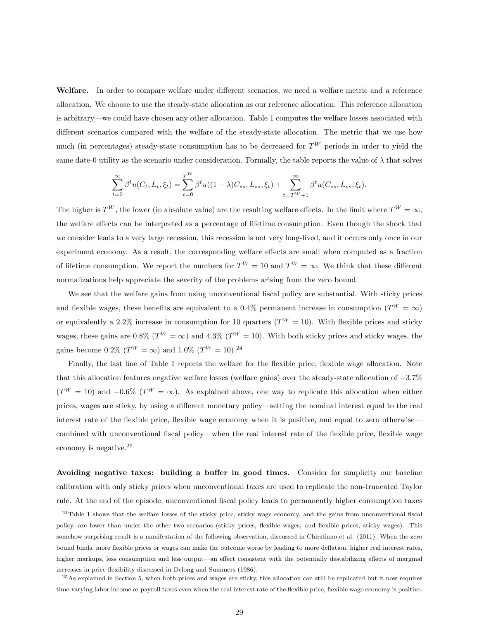Welfare. In order to compare welfare under different scenarios, we need a welfare metric and a reference allocation. We choose to use the steady-state allocation as our reference allocation. This reference allocation is arbitrary—we could have chosen any other allocation. Table 1 computes the welfare losses associated with different scenarios compared with the welfare of the steady-state allocation. The metric that we use how much (in percentages) steady-state consumption has to be decreased for  $T^W$  periods in order to yield the same date-0 utility as the scenario under consideration. Formally, the table reports the value of  $\lambda$  that solves

$$
\sum_{t=0}^{\infty} \beta^t u(C_t, L_t, \xi_t) = \sum_{t=0}^{T^W} \beta^t u((1-\lambda)C_{ss}, L_{ss}, \xi_t) + \sum_{t=T^W+1}^{\infty} \beta^t u(C_{ss}, L_{ss}, \xi_t).
$$

The higher is  $T^W$ , the lower (in absolute value) are the resulting welfare effects. In the limit where  $T^W = \infty$ , the welfare effects can be interpreted as a percentage of lifetime consumption. Even though the shock that we consider leads to a very large recession, this recession is not very long-lived, and it occurs only once in our experiment economy. As a result, the corresponding welfare effects are small when computed as a fraction of lifetime consumption. We report the numbers for  $T^W = 10$  and  $T^W = \infty$ . We think that these different normalizations help appreciate the severity of the problems arising from the zero bound.

We see that the welfare gains from using unconventional fiscal policy are substantial. With sticky prices and flexible wages, these benefits are equivalent to a 0.4% permanent increase in consumption  $(T^W = \infty)$ or equivalently a 2.2% increase in consumption for 10 quarters  $(T^W = 10)$ . With flexible prices and sticky wages, these gains are 0.8% ( $T^{W} = \infty$ ) and 4.3% ( $T^{W} = 10$ ). With both sticky prices and sticky wages, the gains become 0.2% ( $T^{W} = \infty$ ) and 1.0% ( $T^{W} = 10$ ).<sup>24</sup>

Finally, the last line of Table 1 reports the welfare for the flexible price, flexible wage allocation. Note that this allocation features negative welfare losses (welfare gains) over the steady-state allocation of −3.7%  $(T^W = 10)$  and  $-0.6\%$   $(T^W = \infty)$ . As explained above, one way to replicate this allocation when either prices, wages are sticky, by using a different monetary policy—setting the nominal interest equal to the real interest rate of the flexible price, flexible wage economy when it is positive, and equal to zero otherwise combined with unconventional fiscal policy—when the real interest rate of the flexible price, flexible wage economy is negative.<sup>25</sup>

Avoiding negative taxes: building a buffer in good times. Consider for simplicity our baseline calibration with only sticky prices when unconventional taxes are used to replicate the non-truncated Taylor rule. At the end of the episode, unconventional fiscal policy leads to permanently higher consumption taxes

 $24$ Table 1 shows that the welfare losses of the sticky price, sticky wage economy, and the gains from unconventional fiscal policy, are lower than under the other two scenarios (sticky prices, flexible wages, and flexible prices, sticky wages). This somehow surprising result is a manifestation of the following observation, discussed in Chirstiano et al. (2011). When the zero bound binds, more flexible prices or wages can make the outcome worse by leading to more deflation, higher real interest rates, higher markups, less consumption and less output—an effect consistent with the potentially destabilizing effects of marginal increases in price flexibility discussed in Delong and Summers (1986).

 $^{25}$ As explained in Section 5, when both prices and wages are sticky, this allocation can still be replicated but it now requires time-varying labor income or payroll taxes even when the real interest rate of the flexible price, flexible wage economy is positive.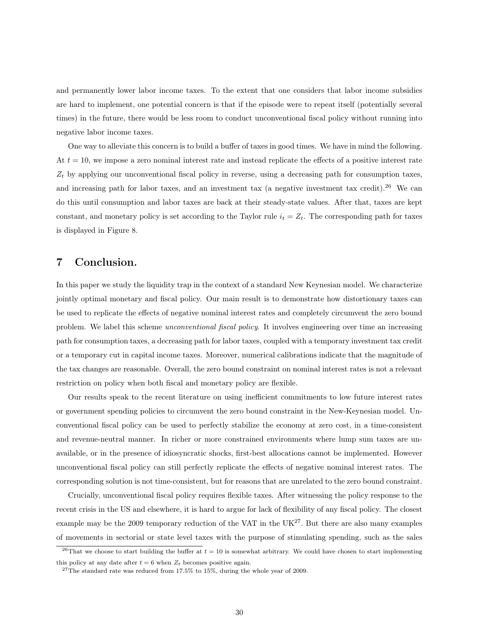and permanently lower labor income taxes. To the extent that one considers that labor income subsidies are hard to implement, one potential concern is that if the episode were to repeat itself (potentially several times) in the future, there would be less room to conduct unconventional fiscal policy without running into negative labor income taxes.

One way to alleviate this concern is to build a buffer of taxes in good times. We have in mind the following. At  $t = 10$ , we impose a zero nominal interest rate and instead replicate the effects of a positive interest rate  $Z_t$  by applying our unconventional fiscal policy in reverse, using a decreasing path for consumption taxes, and increasing path for labor taxes, and an investment tax (a negative investment tax credit).<sup>26</sup> We can do this until consumption and labor taxes are back at their steady-state values. After that, taxes are kept constant, and monetary policy is set according to the Taylor rule  $i_t = Z_t$ . The corresponding path for taxes is displayed in Figure 8.

# 7 Conclusion.

In this paper we study the liquidity trap in the context of a standard New Keynesian model. We characterize jointly optimal monetary and fiscal policy. Our main result is to demonstrate how distortionary taxes can be used to replicate the effects of negative nominal interest rates and completely circumvent the zero bound problem. We label this scheme unconventional fiscal policy. It involves engineering over time an increasing path for consumption taxes, a decreasing path for labor taxes, coupled with a temporary investment tax credit or a temporary cut in capital income taxes. Moreover, numerical calibrations indicate that the magnitude of the tax changes are reasonable. Overall, the zero bound constraint on nominal interest rates is not a relevant restriction on policy when both fiscal and monetary policy are flexible.

Our results speak to the recent literature on using inefficient commitments to low future interest rates or government spending policies to circumvent the zero bound constraint in the New-Keynesian model. Unconventional fiscal policy can be used to perfectly stabilize the economy at zero cost, in a time-consistent and revenue-neutral manner. In richer or more constrained environments where lump sum taxes are unavailable, or in the presence of idiosyncratic shocks, first-best allocations cannot be implemented. However unconventional fiscal policy can still perfectly replicate the effects of negative nominal interest rates. The corresponding solution is not time-consistent, but for reasons that are unrelated to the zero bound constraint.

Crucially, unconventional fiscal policy requires flexible taxes. After witnessing the policy response to the recent crisis in the US and elsewhere, it is hard to argue for lack of flexibility of any fiscal policy. The closest example may be the 2009 temporary reduction of the VAT in the UK<sup>27</sup>. But there are also many examples of movements in sectorial or state level taxes with the purpose of stimulating spending, such as the sales

<sup>&</sup>lt;sup>26</sup>That we choose to start building the buffer at  $t = 10$  is somewhat arbitrary. We could have chosen to start implementing this policy at any date after  $t = 6$  when  $Z_t$  becomes positive again.

<sup>27</sup>The standard rate was reduced from 17.5% to 15%, during the whole year of 2009.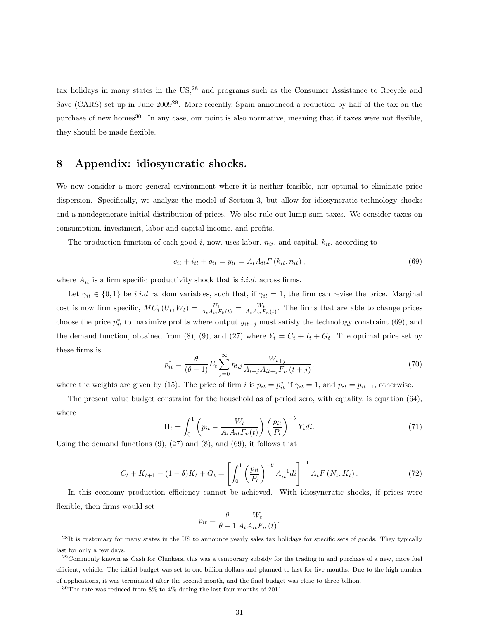tax holidays in many states in the US,<sup>28</sup> and programs such as the Consumer Assistance to Recycle and Save (CARS) set up in June 2009<sup>29</sup>. More recently, Spain announced a reduction by half of the tax on the purchase of new homes<sup>30</sup>. In any case, our point is also normative, meaning that if taxes were not flexible, they should be made flexible.

# 8 Appendix: idiosyncratic shocks.

We now consider a more general environment where it is neither feasible, nor optimal to eliminate price dispersion. Specifically, we analyze the model of Section 3, but allow for idiosyncratic technology shocks and a nondegenerate initial distribution of prices. We also rule out lump sum taxes. We consider taxes on consumption, investment, labor and capital income, and profits.

The production function of each good i, now, uses labor,  $n_{it}$ , and capital,  $k_{it}$ , according to

$$
c_{it} + i_{it} + g_{it} = y_{it} = A_t A_{it} F(k_{it}, n_{it}),
$$
\n(69)

where  $A_{it}$  is a firm specific productivity shock that is *i.i.d.* across firms.

Let  $\gamma_{it} \in \{0,1\}$  be *i.i.d* random variables, such that, if  $\gamma_{it} = 1$ , the firm can revise the price. Marginal cost is now firm specific,  $MC_i(U_t, W_t) = \frac{U_t}{A_t A_{it} F_k(t)} = \frac{W_t}{A_t A_{it} F_n(t)}$ . The firms that are able to change prices choose the price  $p_{it}^*$  to maximize profits where output  $y_{it+j}$  must satisfy the technology constraint (69), and the demand function, obtained from (8), (9), and (27) where  $Y_t = C_t + I_t + G_t$ . The optimal price set by these firms is

$$
p_{it}^{*} = \frac{\theta}{(\theta - 1)} E_t \sum_{j=0}^{\infty} \eta_{t,j} \frac{W_{t+j}}{A_{t+j} A_{it+j} F_n (t+j)},
$$
(70)

where the weights are given by (15). The price of firm i is  $p_{it} = p_{it}^*$  if  $\gamma_{it} = 1$ , and  $p_{it} = p_{it-1}$ , otherwise.

The present value budget constraint for the household as of period zero, with equality, is equation (64), where

$$
\Pi_t = \int_0^1 \left( p_{it} - \frac{W_t}{A_t A_{it} F_n(t)} \right) \left( \frac{p_{it}}{P_t} \right)^{-\theta} Y_t di.
$$
\n(71)

Using the demand functions  $(9)$ ,  $(27)$  and  $(8)$ , and  $(69)$ , it follows that

$$
C_t + K_{t+1} - (1 - \delta)K_t + G_t = \left[ \int_0^1 \left( \frac{p_{it}}{P_t} \right)^{-\theta} A_{it}^{-1} di \right]^{-1} A_t F\left(N_t, K_t\right). \tag{72}
$$

In this economy production efficiency cannot be achieved. With idiosyncratic shocks, if prices were flexible, then firms would set

$$
p_{it} = \frac{\theta}{\theta - 1} \frac{W_t}{A_t A_{it} F_n(t)}.
$$

<sup>&</sup>lt;sup>28</sup>It is customary for many states in the US to announce yearly sales tax holidays for specific sets of goods. They typically last for only a few days.

<sup>&</sup>lt;sup>29</sup>Commonly known as Cash for Clunkers, this was a temporary subsidy for the trading in and purchase of a new, more fuel efficient, vehicle. The initial budget was set to one billion dollars and planned to last for five months. Due to the high number of applications, it was terminated after the second month, and the final budget was close to three billion.

 $^{30}\mathrm{The}$  rate was reduced from  $8\%$  to  $4\%$  during the last four months of 2011.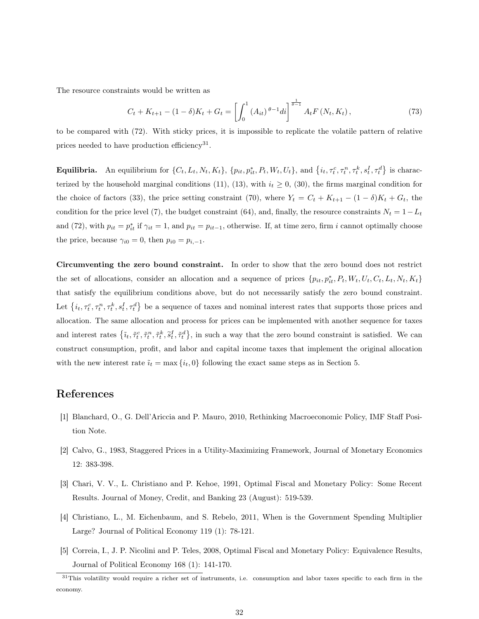The resource constraints would be written as

$$
C_t + K_{t+1} - (1 - \delta)K_t + G_t = \left[ \int_0^1 (A_{it})^{\theta - 1} di \right]^{\frac{1}{\theta - 1}} A_t F(N_t, K_t), \qquad (73)
$$

to be compared with (72). With sticky prices, it is impossible to replicate the volatile pattern of relative prices needed to have production efficiency<sup>31</sup>.

**Equilibria.** An equilibrium for  $\{C_t, L_t, N_t, K_t\}$ ,  $\{p_{it}, p_{it}^*, P_t, W_t, U_t\}$ , and  $\{i_t, \tau_t^c, \tau_t^n, \tau_t^k, s_t^I, \tau_t^d\}$  is characterized by the household marginal conditions (11), (13), with  $i_t \ge 0$ , (30), the firms marginal condition for the choice of factors (33), the price setting constraint (70), where  $Y_t = C_t + K_{t+1} - (1 - \delta)K_t + G_t$ , the condition for the price level (7), the budget constraint (64), and, finally, the resource constraints  $N_t = 1 - L_t$ and (72), with  $p_{it} = p_{it}^*$  if  $\gamma_{it} = 1$ , and  $p_{it} = p_{it-1}$ , otherwise. If, at time zero, firm i cannot optimally choose the price, because  $\gamma_{i0} = 0$ , then  $p_{i0} = p_{i,-1}$ .

Circumventing the zero bound constraint. In order to show that the zero bound does not restrict the set of allocations, consider an allocation and a sequence of prices  $\{p_{it}, p_{it}^*, P_t, W_t, U_t, C_t, L_t, N_t, K_t\}$ that satisfy the equilibrium conditions above, but do not necessarily satisfy the zero bound constraint. Let  $\{i_t, \tau_t^c, \tau_t^n, \tau_t^k, s_t^I, \tau_t^d\}$  be a sequence of taxes and nominal interest rates that supports those prices and allocation. The same allocation and process for prices can be implemented with another sequence for taxes and interest rates  $\{\tilde{i}_t, \tilde{\tau}_t^c, \tilde{\tau}_t^n, \tilde{\tau}_t^k, \tilde{s}_t^I, \tilde{\tau}_t^d\}$ , in such a way that the zero bound constraint is satisfied. We can construct consumption, profit, and labor and capital income taxes that implement the original allocation with the new interest rate  $\tilde{i}_t = \max\{i_t, 0\}$  following the exact same steps as in Section 5.

### References

- [1] Blanchard, O., G. Dell'Ariccia and P. Mauro, 2010, Rethinking Macroeconomic Policy, IMF Staff Position Note.
- [2] Calvo, G., 1983, Staggered Prices in a Utility-Maximizing Framework, Journal of Monetary Economics 12: 383-398.
- [3] Chari, V. V., L. Christiano and P. Kehoe, 1991, Optimal Fiscal and Monetary Policy: Some Recent Results. Journal of Money, Credit, and Banking 23 (August): 519-539.
- [4] Christiano, L., M. Eichenbaum, and S. Rebelo, 2011, When is the Government Spending Multiplier Large? Journal of Political Economy 119 (1): 78-121.
- [5] Correia, I., J. P. Nicolini and P. Teles, 2008, Optimal Fiscal and Monetary Policy: Equivalence Results, Journal of Political Economy 168 (1): 141-170.

<sup>31</sup>This volatility would require a richer set of instruments, i.e. consumption and labor taxes specific to each firm in the economy.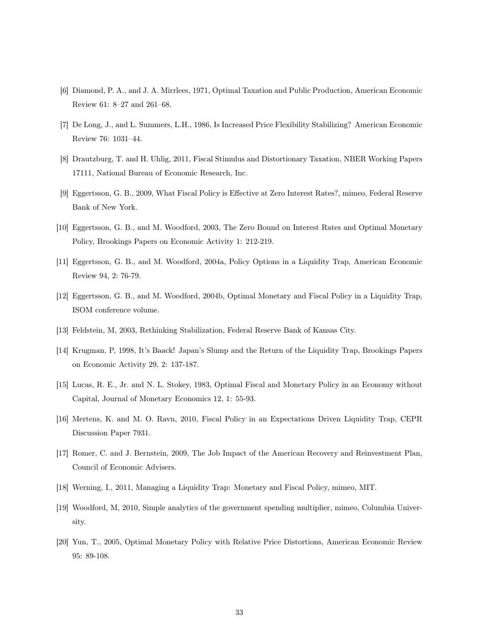- [6] Diamond, P. A., and J. A. Mirrlees, 1971, Optimal Taxation and Public Production, American Economic Review 61: 8–27 and 261–68.
- [7] De Long, J., and L. Summers, L.H., 1986, Is Increased Price Flexibility Stabilizing? American Economic Review 76: 1031–44.
- [8] Drautzburg, T. and H. Uhlig, 2011, Fiscal Stimulus and Distortionary Taxation, NBER Working Papers 17111, National Bureau of Economic Research, Inc.
- [9] Eggertsson, G. B., 2009, What Fiscal Policy is Effective at Zero Interest Rates?, mimeo, Federal Reserve Bank of New York.
- [10] Eggertsson, G. B., and M. Woodford, 2003, The Zero Bound on Interest Rates and Optimal Monetary Policy, Brookings Papers on Economic Activity 1: 212-219.
- [11] Eggertsson, G. B., and M. Woodford, 2004a, Policy Options in a Liquidity Trap, American Economic Review 94, 2: 76-79.
- [12] Eggertsson, G. B., and M. Woodford, 2004b, Optimal Monetary and Fiscal Policy in a Liquidity Trap, ISOM conference volume.
- [13] Feldstein, M, 2003, Rethinking Stabilization, Federal Reserve Bank of Kansas City.
- [14] Krugman, P, 1998, It's Baack! Japan's Slump and the Return of the Liquidity Trap, Brookings Papers on Economic Activity 29, 2: 137-187.
- [15] Lucas, R. E., Jr. and N. L. Stokey, 1983, Optimal Fiscal and Monetary Policy in an Economy without Capital, Journal of Monetary Economics 12, 1: 55-93.
- [16] Mertens, K. and M. O. Ravn, 2010, Fiscal Policy in an Expectations Driven Liquidity Trap, CEPR Discussion Paper 7931.
- [17] Romer, C. and J. Bernstein, 2009, The Job Impact of the American Recovery and Reinvestment Plan, Council of Economic Advisers.
- [18] Werning, I., 2011, Managing a Liquidity Trap: Monetary and Fiscal Policy, mimeo, MIT.
- [19] Woodford, M, 2010, Simple analytics of the government spending multiplier, mimeo, Columbia University.
- [20] Yun, T., 2005, Optimal Monetary Policy with Relative Price Distortions, American Economic Review 95: 89-108.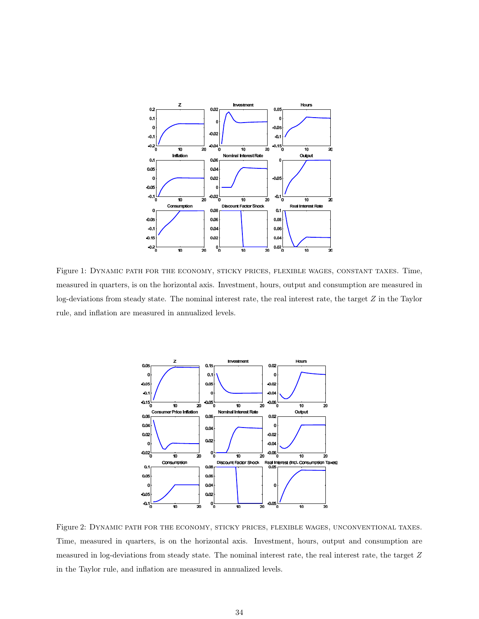

Figure 1: Dynamic path for the economy, sticky prices, flexible wages, constant taxes. Time, measured in quarters, is on the horizontal axis. Investment, hours, output and consumption are measured in log-deviations from steady state. The nominal interest rate, the real interest rate, the target Z in the Taylor rule, and inflation are measured in annualized levels.



Figure 2: Dynamic path for the economy, sticky prices, flexible wages, unconventional taxes. Time, measured in quarters, is on the horizontal axis. Investment, hours, output and consumption are measured in log-deviations from steady state. The nominal interest rate, the real interest rate, the target Z in the Taylor rule, and inflation are measured in annualized levels.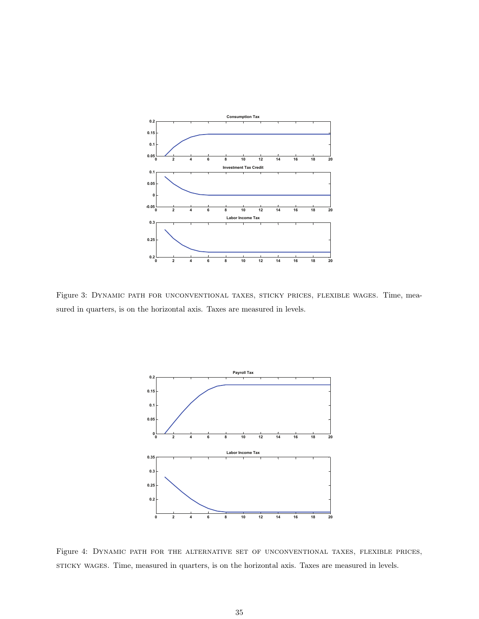

Figure 3: Dynamic path for unconventional taxes, sticky prices, flexible wages. Time, measured in quarters, is on the horizontal axis. Taxes are measured in levels.



Figure 4: Dynamic path for the alternative set of unconventional taxes, flexible prices, sticky wages. Time, measured in quarters, is on the horizontal axis. Taxes are measured in levels.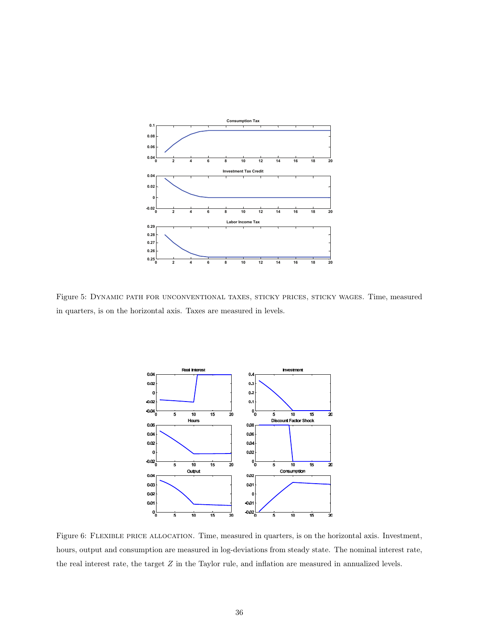

Figure 5: Dynamic path for unconventional taxes, sticky prices, sticky wages. Time, measured in quarters, is on the horizontal axis. Taxes are measured in levels.



Figure 6: FLEXIBLE PRICE ALLOCATION. Time, measured in quarters, is on the horizontal axis. Investment, hours, output and consumption are measured in log-deviations from steady state. The nominal interest rate, the real interest rate, the target Z in the Taylor rule, and inflation are measured in annualized levels.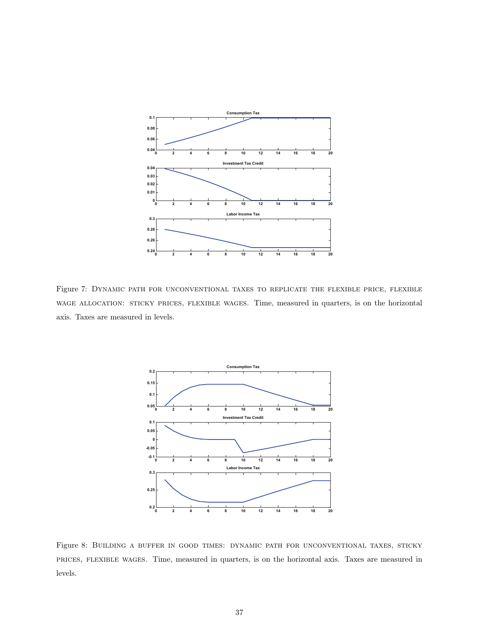

Figure 7: Dynamic path for unconventional taxes to replicate the flexible price, flexible wage allocation: sticky prices, flexible wages. Time, measured in quarters, is on the horizontal axis. Taxes are measured in levels.



Figure 8: Building a buffer in good times: dynamic path for unconventional taxes, sticky prices, flexible wages. Time, measured in quarters, is on the horizontal axis. Taxes are measured in levels.